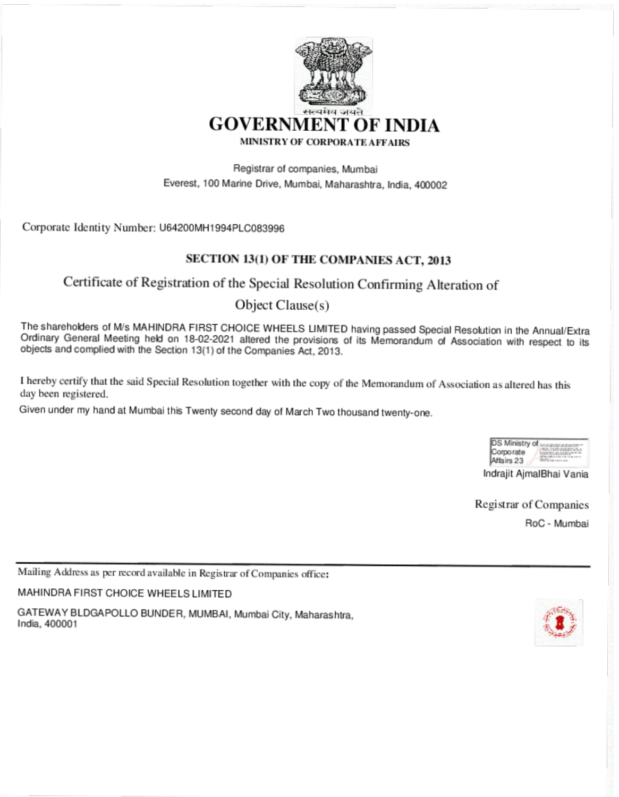

Registrar of companies, Mumbai Everest, 100 Marine Drive, Mumbai, Maharashtra, India, 400002

Corporate Identity Number: U64200MH1994PLC083996

# SECTION 13(1) OF THE COMPANIES ACT, 2013

# Certificate of Registration of the Special Resolution Confirming Alteration of

# Object Clause(s)

The shareholders of M/s MAHINDRA FIRST CHOICE WHEELS LIMITED having passed Special Resolution in the Annual/Extra Ordinary General Meeting held on 18-02-2021 altered the provisions of its Memorandum of Association with respect to its objects and complied with the Section 13(1) of the Companies Act, 2013.

I hereby certify that the said Special Resolution together with the copy of the Memorandum of Association as altered has this day been registered.

Given under my hand at Mumbai this Twenty second day of March Two thousand twenty-one.

| Eserense |
|----------|

Indrajit AjmalBhai Vania

Registrar of Companies

RoC - Mumbai

Mailing Address as per record available in Registrar of Companies office:

MAHINDRA FIRST CHOICE WHEELS LIMITED

GATEWAY BLDGAPOLLO BUNDER, MUMBAI, Mumbai City, Maharashtra, India, 400001

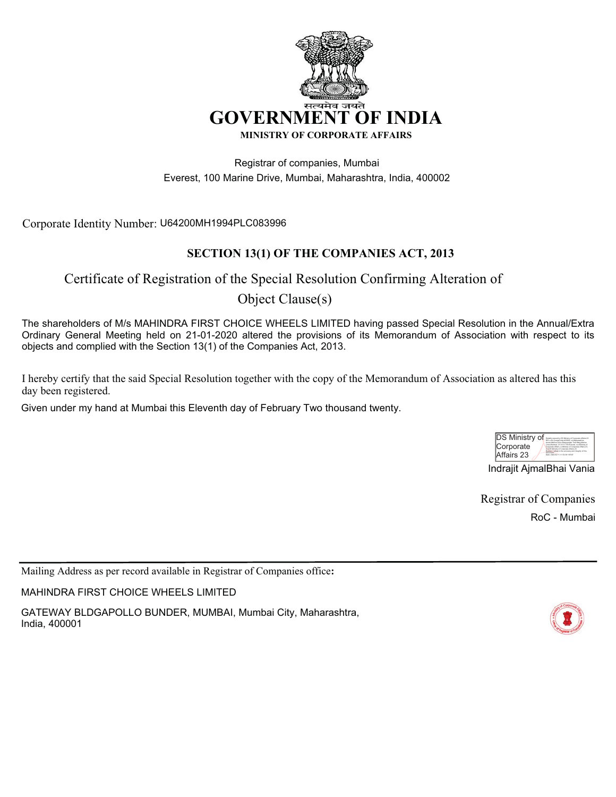

Registrar of companies, Mumbai Everest, 100 Marine Drive, Mumbai, Maharashtra, India, 400002

Corporate Identity Number: U64200MH1994PLC083996

# **SECTION 13(1) OF THE COMPANIES ACT, 2013**

# Certificate of Registration of the Special Resolution Confirming Alteration of Object Clause(s)

The shareholders of M/s MAHINDRA FIRST CHOICE WHEELS LIMITED having passed Special Resolution in the Annual/Extra Ordinary General Meeting held on 21-01-2020 altered the provisions of its Memorandum of Association with respect to its objects and complied with the Section 13(1) of the Companies Act, 2013.

I hereby certify that the said Special Resolution together with the copy of the Memorandum of Association as altered has this day been registered.

Given under my hand at Mumbai this Eleventh day of February Two thousand twenty.

| <b>DS Ministry of</b> | Digitally signed by DS Ministry of Corporate Affairs 23<br>DN: c=IN ocetalCode=400002, st=Maharashtra.                                                                                                                                                             |
|-----------------------|--------------------------------------------------------------------------------------------------------------------------------------------------------------------------------------------------------------------------------------------------------------------|
| Corporate             | street-Marine Drive Shaqyandas Todi Marz Marine<br>Lines Mumbai, 2.5.4.51=100-Everest, our Ministry of<br>Corporate Affairs, onMinistry of Corporate Affairs 23.<br>de+DS Ministry of Corporate Affairs 23<br>Reason: Fathed to the accuracy and integrity of this |
| Affairs 23            | document:<br>Date: 2020-02.11 11:53:38 +05'30"                                                                                                                                                                                                                     |

Indrajit AjmalBhai Vania

Registrar of Companies

RoC - Mumbai

Mailing Address as per record available in Registrar of Companies office**:**

MAHINDRA FIRST CHOICE WHEELS LIMITED

GATEWAY BLDGAPOLLO BUNDER, MUMBAI, Mumbai City, Maharashtra, India, 400001

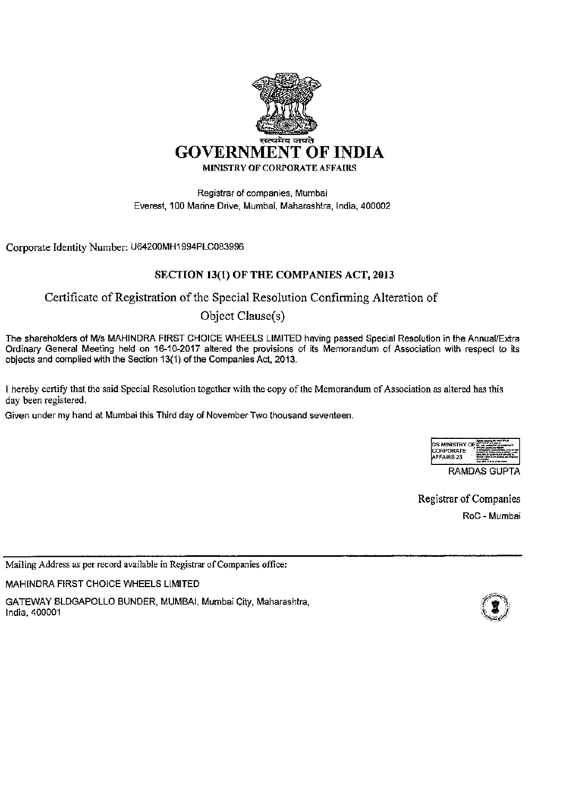

Registrar of companies, Mumbai Everest, 100 Marine Drive, Mumbai, Maharashtra, India, 400002

Corporate Identity Number: U64200MH1994PLC083996

## SECTION 13(1) OF THE COMPANIES ACT, 2013

# Certificate of Registration of the Special Resolution Confirming Alteration of

# Object Clause(s)

The shareholders of M/s MAHINDRA FIRST CHOICE WHEELS LIMITED having passed Special Resolution in the Annual/Extra Ordinary General Meeting held on 16-10-2017 altered the provisions of its Memorandum of Association with respect to its objects and complied with the Section 13(1) of the Companies Act, 2013.

I hereby certify that the said Special Resolution together with the copy of the Memorandum of Association as altered has this day been registered.

Given under my hand at Mumbai this Third day of November Two thousand seventeen.

| IDS MINISTRY OF<br><b>ICORPORATE</b><br>AFFAIRS 23 | <b>MAN REPRODUCT</b> |  |
|----------------------------------------------------|----------------------|--|
| RAMDAS GUPTA                                       |                      |  |

Registrar of Companies RoC - Mumbai

Mailing Address as per record available in Registrar of Companies office:

MAHINDRA FIRST CHOICE WHEELS LIMITED

GATEWAY BLDGAPOLLO BUNDER, MUMBAI, Mumbai City, Maharashtra, India, 400001

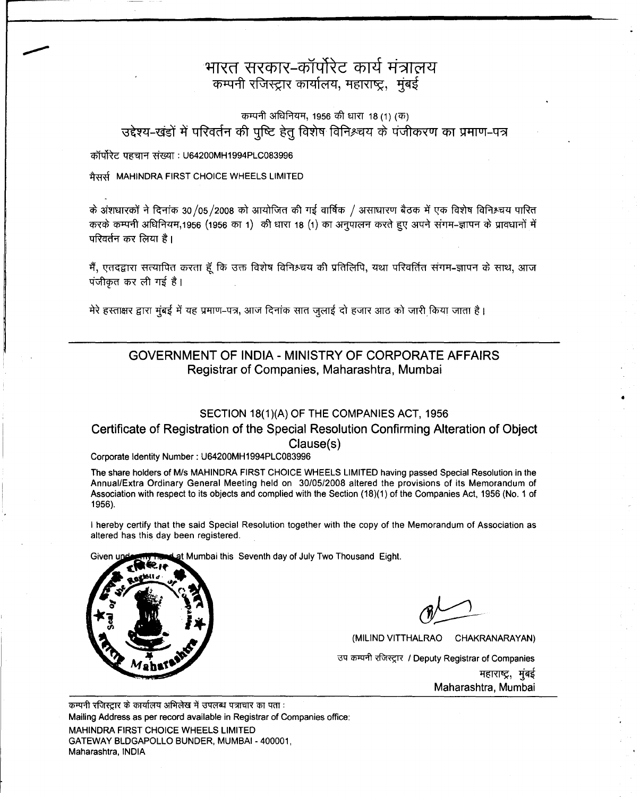# भारत सरकार-कॉर्पोरेट कार्य मंत्रालय कम्पनी रजिस्ट्रार कार्यालय, महाराष्ट्र, मुंबई

## कम्पनी अधिनियम, 1956 की धारा 18 (1) (क) उद्देश्य-खंडों में परिवर्तन की पुष्टि हेतु विशेष विनिश्चय के पंजीकरण का प्रमाण-पत्र

कॉर्पोरेट पहचान संख्या : U64200MH1994PLC083996

मैसर्स MAHINDRA FIRST CHOICE WHEELS LIMITED

के अंशधारकों ने दिनांक 30/05/2008 को आयोजित की गई वार्षिक / असाधारण बैठक में एक विशेष विनिश्चय पारित करके कम्पनी अधिनियम,1956 (1956 का 1) की धारा 18 (1) का अनुपालन करते हुए अपने संगम-ज्ञापन के प्रावधानों में परिवर्तन कर लिया है।

मैं, एतदद्वारा सत्यापित करता हूँ कि उक्त विशेष विनिश्चय की प्रतिलिपि, यथा परिवर्तित संगम**-**ज्ञापन के साथ, आज  $\overline{q}$ जीकृत कर ली गई है।

मेरे हस्ताक्षर द्वारा मुंबई में यह प्रमाण-पत्र, आज दिनांक सात जुलाई दो हजार आठ को जारी किया जाता है।

#### GOVERNMENT OF INDIA - MINISTRY OF CORPORATE AFFAIRS Registrar of Companies, Maharashtra, Mumbai

#### SECTION 18(1)(A) OF THE COMPANIES ACT, 1956

#### Certificate of Registration of the Special Resolution Confirming Alteration of Object Clause(s)

#### Corporate Identity Number: U64200MH1994PLC083996

The share holders of MIs MAHINDRA FIRST CHOICE WHEELS LIMITED having passed Special Resolution in the Annual/Extra Ordinary General Meeting held on *30/05/2008* altered the provisions of its Memorandum of Association with respect to its objects and complied with the Section (18)(1) of the Companies Act, 1956 (No.1 of 1956).

I hereby certify that the said Special Resolution together with the copy of the Memorandum of Association as altered has this day been registered.

at Mumbai this Seventh day of July Two Thousand Eight. Given ur



•

(MILIND VITTHALRAO CHAKRANARAYAN) उप कम्पनी रजिस्ट्रार / Deputy Registrar of Companies महाराष्ट्र, मुंबई Maharashtra, Mumbai

कम्पनी रजिस्टार के कार्यालय अभिलेख में उपलब्ध पत्राचार का पता: Mailing Address as per record available in Registrar of Companies office: MAHINDRA FIRST CHOICE WHEELS LIMITED GATEWAY BLDGAPOLLO BUNDER, MUMBAI - 400001, Maharashtra. INDIA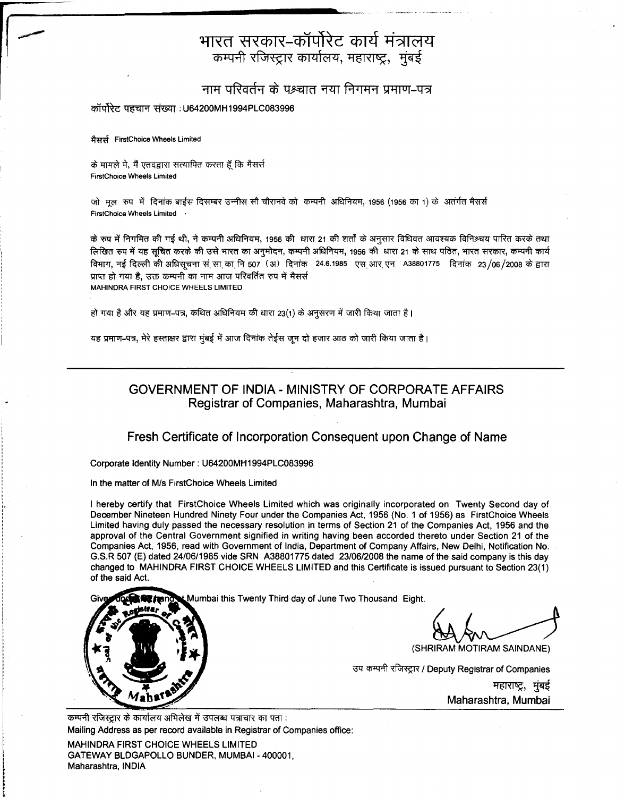# भारत सरकार–कॉर्पोरेट कार्य मंत्रालय कम्पनी रजिस्ट्रार कार्यालय, महाराष्ट्र, मुंबई

## नाम परिवर्तन के पश्चात नया निगमन प्रमाण-पत्र

#### कॉर्पोरेट पहचान संख्या : U64200MH1994PLC083996

~ FirstChoice Wheels Limited

के मामले मे, मैं एतदद्वारा सत्यापित करता हूँ कि मैसर्स FirstChoice Wheels Limited

जो मल रुप में दिनांक बाईस दिसम्बर उन्नीस सौ चौरानवे को कम्पनी अधिनियम, 1956 (1956 का 1) के अतंर्गत मैसर्स FirstChoice Wheels Limited .

के रूप में निगमित की गई थी, ने कम्पनी अधिनियम, 1956 की धारा 21 की शर्तों के अनुसार विधिवत आवश्यक विनिश्चय पारित करके तथा लिखित रुप में यह सचित करके की उसे भारत का अनमोदन, कम्पनी अधिनियम, 1956 की धारा 21 के साथ पठित, भारत सरकार, कम्पनी कार्य विभाग, नई दिल्ली की अधिसचना संसा का नि 507 (अ) दिनांक 24.6.1985 एस आर एन A38801775 दिनांक 23/06/2008 के द्वारा प्राप्त हो गया है, उक्त कम्पनी का नाम आज परिवर्तित रुप में मैसर्स MAHINDRA FIRST CHOICE WHEELS LIMITED

हो गया है और यह प्रमाण-पत्र, कथित अधिनियम की धारा 23(1) के अनुसरण में जारी किया जाता है।

यह प्रमाण-पत्र, मेरे हस्ताक्षर द्वारा मुंबई में आज दिनांक तेईस जून दो हजार आठ को जारी किया जाता है।

## GOVERNMENT OF INDIA - MINISTRY OF CORPORATE AFFAIRS Registrar of Companies, Maharashtra, Mumbai

#### Fresh Certificate of Incorporation Consequent upon Change of Name

Corporate Identity Number: U64200MH1994PLC083996

In the matter of M/s FirstChoice Wheels Limited

I hereby certify that FirstChoice Wheels Limited which was originally incorporated on Twenty Second day of December Nineteen Hundred Ninety Four under the Companies Act, 1956 (No.1 of 1956) as FirstChoice Wheels Limited having duly passed the necessary resolution in terms of Section 21 of the Companies Act, 1956 and the approval of the Central Government signified in writing having been accorded thereto under Section 21 of the Companies Act, 1956, read with Government of India, Department of Company Affairs, New Delhi, Notification No. G.S.R 507 (E) dated 24/06/1985 vide SRN A38801775 dated 23/06/2008 the name of the said company is this day changed to MAHINDRA FIRST CHOICE WHEELS LIMITED and this Certificate is issued pursuant to Section 23(1) of the said Act.

Mumbai this Twenty Third day of June Two Thousand Eight.

(SHRIRAM MOTIRAM SAINDANE)

उप कम्पनी रजिस्ट्रार / Deputy Registrar of Companies महाराष्ट्र, मुंबई Maharashtra, Mumbai

कम्पनी रजिस्टार के कार्यालय अभिलेख में उपलब्ध पत्राचार का पता: Mailing Address as per record available in Registrar of Companies office:

MAHINDRA FIRST CHOICE WHEELS LIMITED GATEWAY BLDGAPOLLO BUNDER, MUMBAI- 400001, Maharashtra, INDIA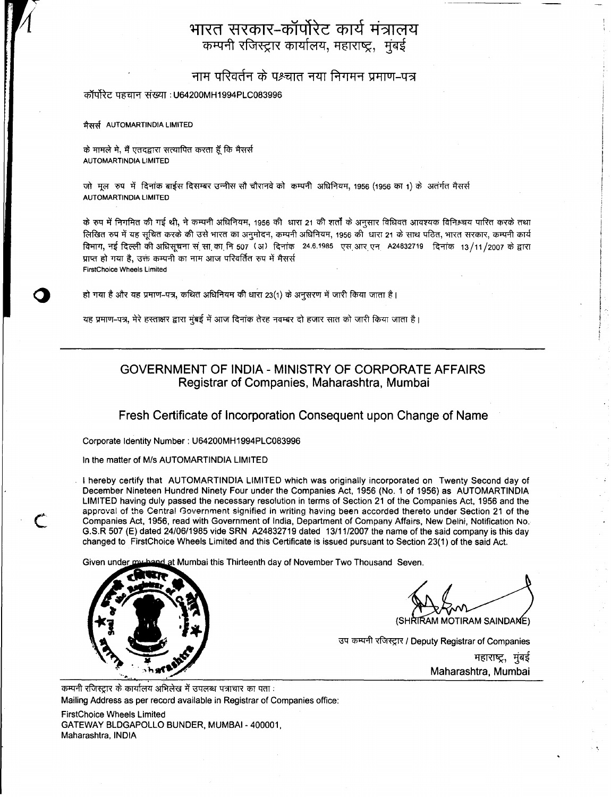# भारत सरकार-कॉर्पोरेट कार्य मंत्रालय कम्पनी रजिस्ट्रार कार्यालय, महाराष्ट्र, मुंबई

नाम परिवर्तन के पश्च्यात नया निगमन प्रमाण-पत्र

कॉर्पोरेट पहचान संख्या : U64200MH1994PLC083996

मैसर्स AUTOMARTINDIA LIMITED

के मामले मे, मैं एतदद्वारा सत्यापित करता हूँ कि मैसर्स AUTOMARTINDIA LIMITED

जो मल रुप में दिनांक बाईस दिसम्बर उन्नीस सौ चौरानवे को कम्पनी अधिनियम, 1956 (1956 का 1) के अतंर्गत मैसर्स AUTOMARTINDIA LIMITED

के रुप में निगमित की गई थी, ने कम्पनी अधिनियम, 1956 की धारा 21 की शर्तों के अनुसार विधिवत आवश्यक विनिश्चय पारित करके तथा लिखित रुप में यह सुचित करके की उसे भारत का अनुमोदन, कम्पनी अधिनियम, 1956 की धारा 21 के साथ पठित, भारत सरकार, कम्पनी कार्य विभाग, नई दिल्ली की अधिसुचना स<sup>ं</sup>सा का नि 507 (अ) दिनांक 24.6.1985 एस आर एन A24832719 दिनांक 13/11/2007 के द्वारा प्राप्त हो गया है, उक्त कम्पनी का नाम आज परिवर्तित रुप में मैसर्स FirstChoice Wheels Limited

हो गया है और यह प्रमाण-पत्र, कथित अधिनियम की धारा 23(1) के अनुसरण में जारी किया जाता है।

यह प्रमाण-पत्र, मेरे हस्ताक्षर द्वारा मुंबई में आज दिनांक तेरह नवम्बर दो हजार सात को जारी किया जाता है।

## GOVERNMENT OF INDIA - MINISTRY OF CORPORATE AFFAIRS Registrar of Companies, Maharashtra, Mumbai

Fresh Certificate of Incorporation Consequent upon Change of Name

Corporate Identity Number: U64200MH1994PLC083996

In the matter of M/s AUTOMARTINDIA LIMITED

I hereby certify that AUTOMARTINDIA LIMITED which was originally incorporated on Twenty Second day of December Nineteen Hundred Ninety Four under the Companies Act, 1956 (No.1 of 1956) as AUTOMARTINDIA LIMITED having duly passed the necessary resolution in terms of Section 21 of the Companies Act, 1956 and the approval of the Central Government signified in writing having been accorded thereto under Section 21 of the Companies Act, 1956, read with Government of India, Department of Company Affairs, New Delhi, Notification No. G.S.R 507 (E) dated 24/06/1985 vide SRN A24832719 dated 13/11/2007 the name of the said company is this day changed to FirstChoice Wheels Limited and this Certificate is issued pursuant to Section 23(1) of the said Act.

and at Mumbai this Thirteenth day of November Two Thousand Seven. Given under a



c

RAM MOTIRAM SAINDAME)

उप कम्पनी रजिस्ट्रार / Deputy Registrar of Companies महाराष्ट्र, मुंबई Maharashtra, Mumbai

कम्पनी रजिस्ट्रार के कार्यालय अभिलेख में उपलब्ध पत्राचार का पता : Mailing Address as per record available in Registrar of Companies office:

FirstChoice Wheels Limited GATEWAY BLDGAPOLLO BUNDER, MUMBAI- 400001, Maharashtra, INDIA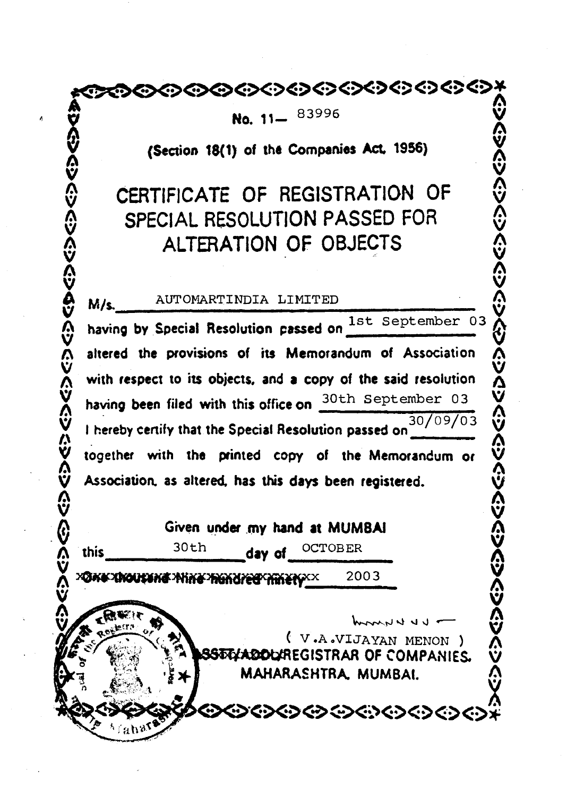~,,~~~~~~~~~~~~~~~~~~~~~¥

No. 11-83996

**X No. 11-** <sup>83996</sup> X ~ **(Section 18(1) of the Companies Act. 1956)** ~

# $\tilde{\mathbf{v}}$  . The contract of  $\tilde{\mathbf{v}}$ **<sup>o</sup> CERTIFICATE OF REGISTRATION OF 0 o CERTIFICATE OF REGISTRATION OF CERTIFICATE OF REGISTRATION OF CONSIDER**<br>
SPECIAL RESOLUTION PASSED FOR<br> **O ALTERATION OF OBJECTS**<br> **0 M/s.** AUTOMARTINDIA LIMITED<br> **A** having by Special Resolution passed on  $\frac{1 \text$ **o ALTERATION OF OBJECTS 0** <sup>~</sup> <sup>~</sup>

 $\ddot{\mathbf{v}}$  and  $\ddot{\mathbf{v}}$  and  $\ddot{\mathbf{v}}$ 

**M/s.** AUTOMARTINDIA LIMITED<br>having by Special Resolution passed on <sup>1st</sup> September 03 **o h**<br> **o having** been filed with this office on  $\frac{30 \text{ th}}{300 \text{ m}}$  September 03<br> **1** hereby certify that the Special Resolution passed on  $\frac{30}{1000}$ <br> **1** together with the printed copy of the Memorandum or **X with respect to its objects. and a copy of the said re\$olution X <sup>Y</sup> having been filed with this officeon** 30th September <sup>03</sup> <sup>~</sup> <sup>M</sup> . / / <sup>4</sup> <sup>~</sup> I.**herebycenify that the Special Resolution passedon**<sup>30</sup> <sup>09</sup> <sup>03</sup> <sup>~</sup> **V** together with the printed copy of the Memorandum or<br> **V** Association, as altered, has this days been registered.<br> **V** Association. as altered, has this days been registered.

 $\ddot{\mathbf{v}}$  , and the contract of  $\ddot{\mathbf{v}}$ .~~ **Given under** .my **hand at MUMBAI** ~~

;~~~~~~~~x <sup>v</sup> <sup>2003</sup> <sup>~</sup>

 $\hat{\Omega}$ 

~ **this** 30th **day of** OCTOBER A

 $`$   $V$ .A. $V$   $I$   $J$   $X$  $N$   $M$   $N$   $N$   $s$   $V$   $J$ . -r~,,,{-~<:~ ( <sup>v</sup> .AoVIJAYAN MENON) !:\ *'Ii~-';I*~tt'~~j ')~~ **EGISTRAR OF COMPANIES.** <sup>~</sup> l *.ik!1\.* '~: MAHARASHTRA, MUMBAI. <sup>~</sup>

**۞۞۞۞۞۞۞۞۞۞۞۞۞۞۞۞** 

~

~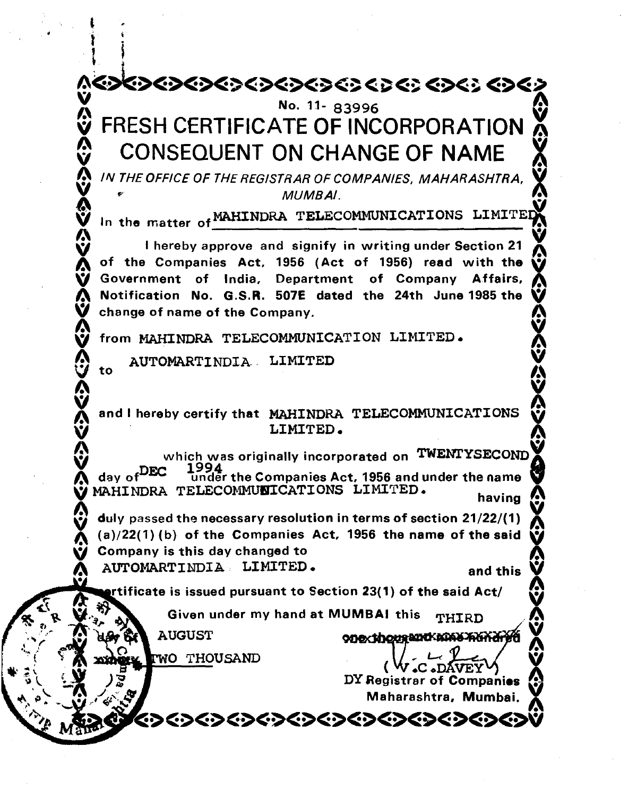$\begin{smallmatrix} 1 & 1 \\ 1 & 1 \end{smallmatrix}$ \*\*\*\*\*\*\*\*\*\*\*\*\*\*\*\*\*\*\*\*\*\*\*\*\*\*\*\*\*\*\*\* No. 11- 83996 FRESH CERTIFICATE OF INCORPORATION CONSEQUENT ON CHANGE OF NAME<br>IN THE OFFICE OF THE REGISTRAR OF COMPANIES. MAHARASHTRA.  $\sum_{\alpha}$   $\alpha$  In The Companies, MUMBAI. In the matter of MAHINDRA TELECOMMUNICATIONS LIMITED I hereby approve and signify in writing under Section 21 of the Companies Act, 1956 (Act of 1956) read with the ~<br>Government of India. Department of Company Affairs. Government of India, Department of Company Notification No. G.S.R. 507E dated the 24th June 1985 the change of name of the Company.  $\boldsymbol{W}$  , we have a proposition of  $\boldsymbol{V}$ V from MAHINDRA TELECOMMUNICATION LIMITED. to AUTOMARTINDIA. LIMITED  $\Omega$  $\mathbf{v}$  and the late of the construence of the constructions of **A** and I hereby certify that MAHINDRA TELECOMMUNICATIONS  $\lambda$ ,  $\lambda$ ,  $\lambda$ ,  $\lambda$ ,  $\lambda$ ,  $\lambda$ ,  $\lambda$ ,  $\lambda$ ,  $\lambda$ ,  $\lambda$ ,  $\lambda$ ,  $\lambda$ ,  $\lambda$ ,  $\lambda$ ,  $\lambda$ ,  $\lambda$ ,  $\lambda$ ,  $\lambda$ ,  $\lambda$ ,  $\lambda$ ,  $\lambda$ ,  $\lambda$ ,  $\lambda$ ,  $\lambda$ ,  $\lambda$ ,  $\lambda$ ,  $\lambda$ ,  $\lambda$ ,  $\lambda$ ,  $\lambda$ ,  $\lambda$ ,  $\lambda$ ,  $\lambda$ ,  $\lambda$ ,  $\lambda$ ,  $\lambda$ ,  $\lambda$ , which was originally incorporated on TWENTYSECOND<br>day of DEC Under the Companies Act, 1956 and under the name MAHINDRA TELECOMMUNICATIONS LIMITED. duly passed the necessary resolution in terms of section  $21/22/(1)$  $\mathbf{y}$  duly passed the necessary resolution in terms of section 21/22/(1)  $\mathbf{y}$ .  $\bullet$  (a)/22(1) (b) of the Companies Act, 1956 the name of the said  $\bullet$ <br> $\bullet$  Company is this day changed to AUTOMARTINDIA LIMITED.<br>**AUTOMARTINDIA** LIMITED.<br>**AUTOMARTINGIA** criticate is issued pursuant to Section 23(1) of the said Act/ ~ Given under my hand at MUMBAI this THIRD **AUGUST**  $\mathbb{C}$   $\mathbb{C}$   $\mathbb{C}$   $\mathbb{C}$   $\mathbb{C}$   $\mathbb{C}$   $\mathbb{C}$   $\mathbb{C}$   $\mathbb{C}$   $\mathbb{C}$   $\mathbb{C}$   $\mathbb{C}$   $\mathbb{C}$   $\mathbb{C}$   $\mathbb{C}$   $\mathbb{C}$   $\mathbb{C}$   $\mathbb{C}$   $\mathbb{C}$   $\mathbb{C}$   $\mathbb{C}$   $\mathbb{C}$   $\mathbb{C}$   $\mathbb{C}$   $\mathbb{$ .~(\1 <sup>0</sup> <sup>0</sup> THOUSAND ' <sup>k</sup> 0 •. ; \. to" ( .c• VEY DY Registrar of Companies<br>Maharashtra, Mumbai. ~><><><~><~><~><~><~><~

 $\ddagger$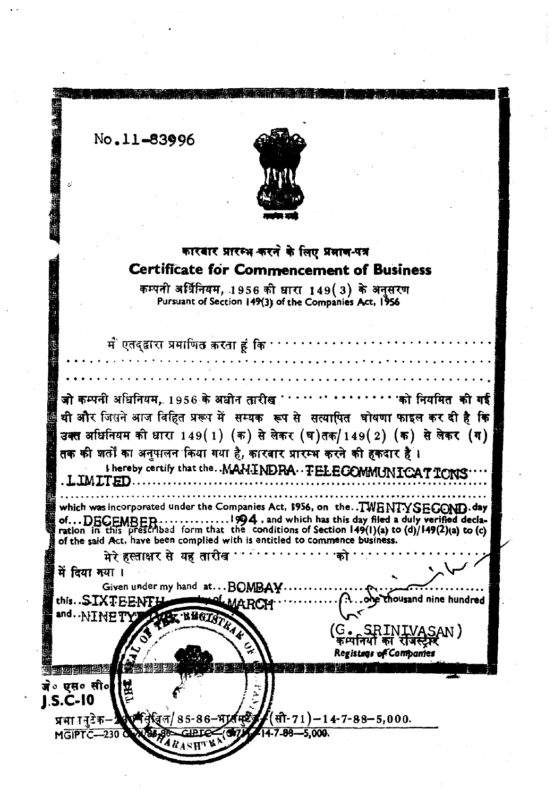No.11-83996

lij ,

**IN THE CONSTRUCTION OF REAL PROPERTY.** 



# कारबार प्रारम्भ करने के लिए प्रमाण-पत्र Certificate for Commencement of Business

कम्पनी अर्धिनियम, 1956 की धारा 149 $(3)$  के अनुसरण<br>Pursuant of Section 149(3) of the Companies Act, 1956

| में एतद् <b>द्वारा प्रमाणित करता हूं कि</b>                                |                                                                               |
|----------------------------------------------------------------------------|-------------------------------------------------------------------------------|
|                                                                            |                                                                               |
| जो कम्पनी अधिनियम, 1956 के अधोन तारीख                                      | 'को नियमित की गई                                                              |
|                                                                            | थी और जिसने आज विहित प्ररूप में सम्यक रूप से सत्यापित घोषणा फाइल कर दी है कि  |
|                                                                            | उक्त अधिनियम की धारा 149(1) (क) से लेकर (घ)तक/149(2) (क) से लेकर (ग)          |
| तक की शर्तों का अनुपालन किया गया है, कारबार प्रारम्भ करने की हकदार है ।    |                                                                               |
| <b>.LIMITED</b>                                                            | I hereby certify that the. . MAH.INDRA. FELECOMMUNICATIONS                    |
|                                                                            | which was incorporated under the Companies Act, \$956, on theTWENTYSEGOND.day |
|                                                                            | $\ldots$ 1994 , and which has this day filed a duly verified decla-           |
| of the said Act, have been complied with is entitled to commence business. |                                                                               |
| मेरे हस्ताक्षर से यह तारीख                                                 |                                                                               |
| में दिया नया ।<br>Given under my hand at BOMBAY                            |                                                                               |
| <b>LEMARCH</b>                                                             | thousand nine hundred                                                         |
| this. SIX+ DETY AND BECASTLY                                               |                                                                               |
|                                                                            | (G. SRINIVASAN)<br>'कम्पनियो का रोजस्ट्रेल्                                   |
| 내 기의 의견대                                                                   | Registags of Companies                                                        |
| जे० एस० सी०                                                                |                                                                               |
| J.S.C-10                                                                   |                                                                               |
| प्रभा ननुटेक- के पत्निविल/ 85-86-भाव पटेंड (सी-71)-14-7-88-5,000.          |                                                                               |
| MGIPTC-230 WWW.88-GIBTCC (ST) 14-7-88-5,000                                |                                                                               |
|                                                                            |                                                                               |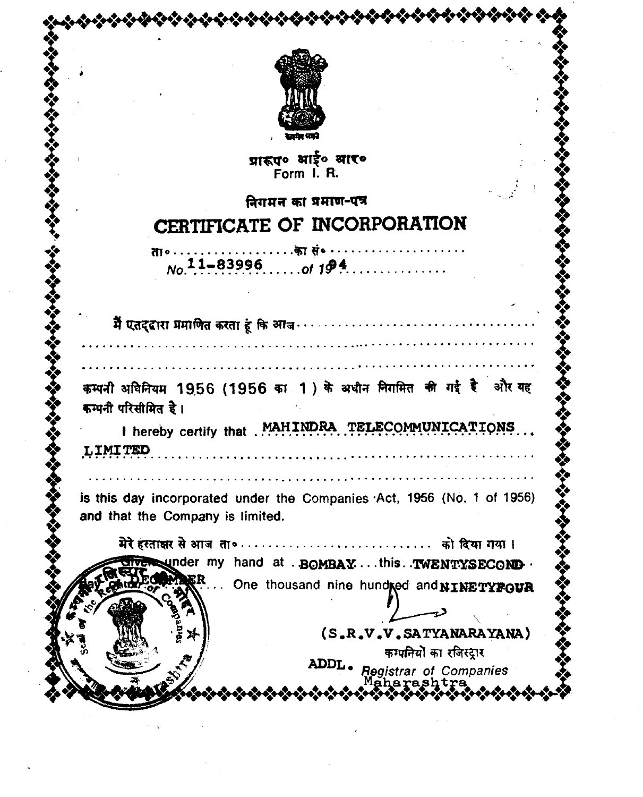

য়াৱত ধাই০ থাকে Form I. R.

# निगमन का प्रमाण-पत्र CERTIFICATE OF INCORPORATION

ता०...................का सं० ...............  $N_0$  11-83996 of 194...............

कम्पनी अविनियम 1956 (1956 का 1) के अधीन निगमित की गई है और यह कम्पनी परिसीमित है।

I hereby certify that MAHINDRA TELECOMMUNICATIONS **LIMITED** 

is this day incorporated under the Companies Act, 1956 (No. 1 of 1956) and that the Company is limited.

under my hand at . BOMBAY...this. TWENTYSECOND. ER ... One thousand nine hundred and NINETYFOUR

(S.R.V.V.SATYANARAYANA) कम्पनियों का रजिस्ट्रार ADDL - Registrar of Companies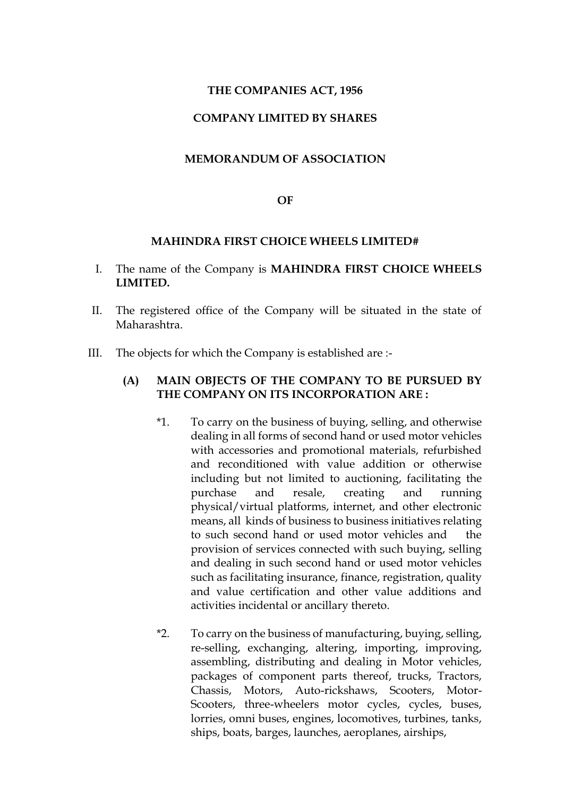## **THE COMPANIES ACT, 1956**

## **COMPANY LIMITED BY SHARES**

#### **MEMORANDUM OF ASSOCIATION**

#### **OF**

#### **MAHINDRA FIRST CHOICE WHEELS LIMITED#**

- I. The name of the Company is **MAHINDRA FIRST CHOICE WHEELS LIMITED.**
- II. The registered office of the Company will be situated in the state of Maharashtra.
- III. The objects for which the Company is established are :-

## **(A) MAIN OBJECTS OF THE COMPANY TO BE PURSUED BY THE COMPANY ON ITS INCORPORATION ARE :**

- \*1. To carry on the business of buying, selling, and otherwise dealing in all forms of second hand or used motor vehicles with accessories and promotional materials, refurbished and reconditioned with value addition or otherwise including but not limited to auctioning, facilitating the purchase and resale, creating and running physical/virtual platforms, internet, and other electronic means, all kinds of business to business initiatives relating to such second hand or used motor vehicles and the provision of services connected with such buying, selling and dealing in such second hand or used motor vehicles such as facilitating insurance, finance, registration, quality and value certification and other value additions and activities incidental or ancillary thereto.
- \*2. To carry on the business of manufacturing, buying, selling, re-selling, exchanging, altering, importing, improving, assembling, distributing and dealing in Motor vehicles, packages of component parts thereof, trucks, Tractors, Chassis, Motors, Auto-rickshaws, Scooters, Motor-Scooters, three-wheelers motor cycles, cycles, buses, lorries, omni buses, engines, locomotives, turbines, tanks, ships, boats, barges, launches, aeroplanes, airships,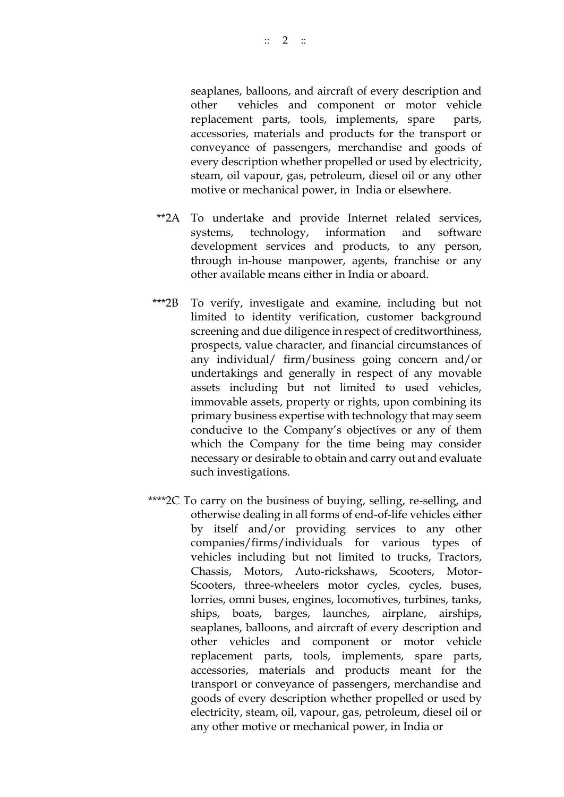seaplanes, balloons, and aircraft of every description and other vehicles and component or motor vehicle replacement parts, tools, implements, spare parts, accessories, materials and products for the transport or conveyance of passengers, merchandise and goods of every description whether propelled or used by electricity, steam, oil vapour, gas, petroleum, diesel oil or any other motive or mechanical power, in India or elsewhere.

- \*\*2A To undertake and provide Internet related services, systems, technology, information and software development services and products, to any person, through in-house manpower, agents, franchise or any other available means either in India or aboard.
- \*\*\*2B To verify, investigate and examine, including but not limited to identity verification, customer background screening and due diligence in respect of creditworthiness, prospects, value character, and financial circumstances of any individual/ firm/business going concern and/or undertakings and generally in respect of any movable assets including but not limited to used vehicles, immovable assets, property or rights, upon combining its primary business expertise with technology that may seem conducive to the Company's objectives or any of them which the Company for the time being may consider necessary or desirable to obtain and carry out and evaluate such investigations.
- \*\*\*\*2C To carry on the business of buying, selling, re-selling, and otherwise dealing in all forms of end-of-life vehicles either by itself and/or providing services to any other companies/firms/individuals for various types of vehicles including but not limited to trucks, Tractors, Chassis, Motors, Auto-rickshaws, Scooters, Motor-Scooters, three-wheelers motor cycles, cycles, buses, lorries, omni buses, engines, locomotives, turbines, tanks, ships, boats, barges, launches, airplane, airships, seaplanes, balloons, and aircraft of every description and other vehicles and component or motor vehicle replacement parts, tools, implements, spare parts, accessories, materials and products meant for the transport or conveyance of passengers, merchandise and goods of every description whether propelled or used by electricity, steam, oil, vapour, gas, petroleum, diesel oil or any other motive or mechanical power, in India or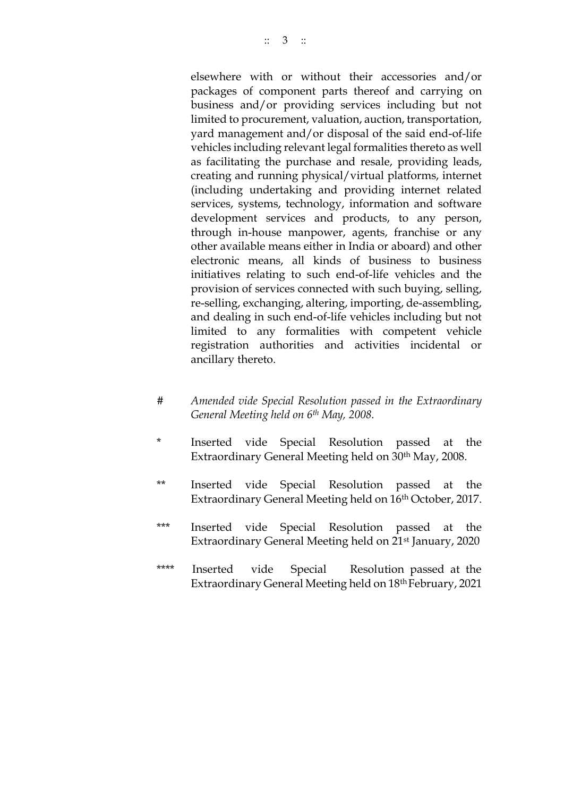elsewhere with or without their accessories and/or packages of component parts thereof and carrying on business and/or providing services including but not limited to procurement, valuation, auction, transportation, yard management and/or disposal of the said end-of-life vehicles including relevant legal formalities thereto as well as facilitating the purchase and resale, providing leads, creating and running physical/virtual platforms, internet (including undertaking and providing internet related services, systems, technology, information and software development services and products, to any person, through in-house manpower, agents, franchise or any other available means either in India or aboard) and other electronic means, all kinds of business to business initiatives relating to such end-of-life vehicles and the provision of services connected with such buying, selling, re-selling, exchanging, altering, importing, de-assembling, and dealing in such end-of-life vehicles including but not limited to any formalities with competent vehicle registration authorities and activities incidental or ancillary thereto.

- *# Amended vide Special Resolution passed in the Extraordinary General Meeting held on 6th May, 2008.*
- Inserted vide Special Resolution passed at the Extraordinary General Meeting held on 30th May, 2008.
- \*\* Inserted vide Special Resolution passed at the Extraordinary General Meeting held on 16<sup>th</sup> October, 2017.
- \*\*\* Inserted vide Special Resolution passed at the Extraordinary General Meeting held on 21st January, 2020
- \*\*\*\* Inserted vide Special Resolution passed at the Extraordinary General Meeting held on 18th February, 2021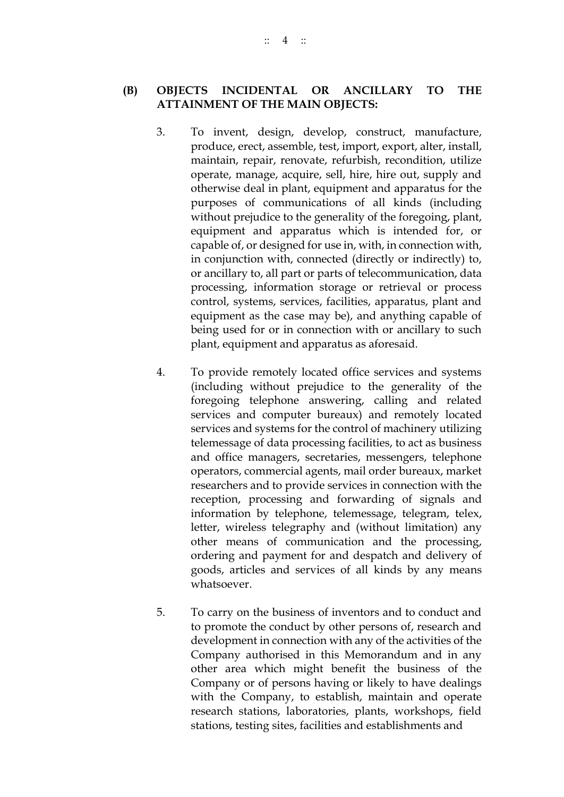**(B) OBJECTS INCIDENTAL OR ANCILLARY TO THE ATTAINMENT OF THE MAIN OBJECTS:**

- 3. To invent, design, develop, construct, manufacture, produce, erect, assemble, test, import, export, alter, install, maintain, repair, renovate, refurbish, recondition, utilize operate, manage, acquire, sell, hire, hire out, supply and otherwise deal in plant, equipment and apparatus for the purposes of communications of all kinds (including without prejudice to the generality of the foregoing, plant, equipment and apparatus which is intended for, or capable of, or designed for use in, with, in connection with, in conjunction with, connected (directly or indirectly) to, or ancillary to, all part or parts of telecommunication, data processing, information storage or retrieval or process control, systems, services, facilities, apparatus, plant and equipment as the case may be), and anything capable of being used for or in connection with or ancillary to such plant, equipment and apparatus as aforesaid.
- 4. To provide remotely located office services and systems (including without prejudice to the generality of the foregoing telephone answering, calling and related services and computer bureaux) and remotely located services and systems for the control of machinery utilizing telemessage of data processing facilities, to act as business and office managers, secretaries, messengers, telephone operators, commercial agents, mail order bureaux, market researchers and to provide services in connection with the reception, processing and forwarding of signals and information by telephone, telemessage, telegram, telex, letter, wireless telegraphy and (without limitation) any other means of communication and the processing, ordering and payment for and despatch and delivery of goods, articles and services of all kinds by any means whatsoever.
- 5. To carry on the business of inventors and to conduct and to promote the conduct by other persons of, research and development in connection with any of the activities of the Company authorised in this Memorandum and in any other area which might benefit the business of the Company or of persons having or likely to have dealings with the Company, to establish, maintain and operate research stations, laboratories, plants, workshops, field stations, testing sites, facilities and establishments and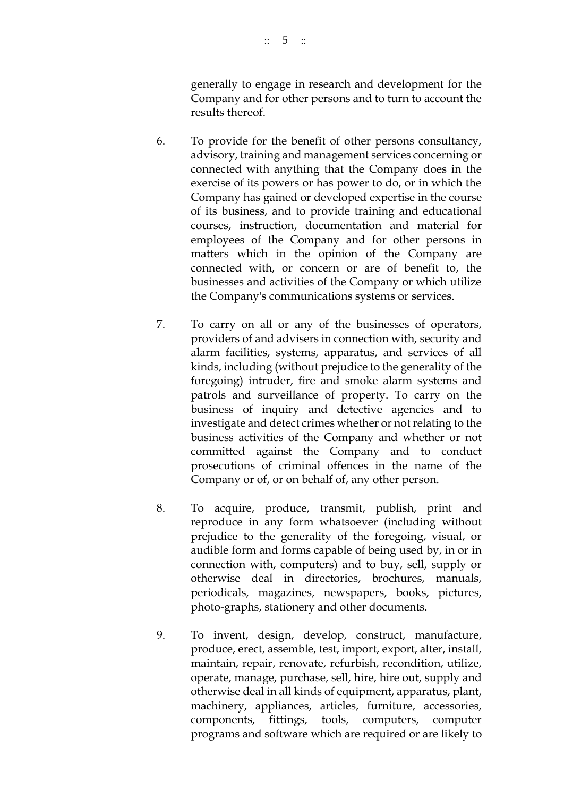generally to engage in research and development for the Company and for other persons and to turn to account the results thereof.

- 6. To provide for the benefit of other persons consultancy, advisory, training and management services concerning or connected with anything that the Company does in the exercise of its powers or has power to do, or in which the Company has gained or developed expertise in the course of its business, and to provide training and educational courses, instruction, documentation and material for employees of the Company and for other persons in matters which in the opinion of the Company are connected with, or concern or are of benefit to, the businesses and activities of the Company or which utilize the Company's communications systems or services.
- 7. To carry on all or any of the businesses of operators, providers of and advisers in connection with, security and alarm facilities, systems, apparatus, and services of all kinds, including (without prejudice to the generality of the foregoing) intruder, fire and smoke alarm systems and patrols and surveillance of property. To carry on the business of inquiry and detective agencies and to investigate and detect crimes whether or not relating to the business activities of the Company and whether or not committed against the Company and to conduct prosecutions of criminal offences in the name of the Company or of, or on behalf of, any other person.
- 8. To acquire, produce, transmit, publish, print and reproduce in any form whatsoever (including without prejudice to the generality of the foregoing, visual, or audible form and forms capable of being used by, in or in connection with, computers) and to buy, sell, supply or otherwise deal in directories, brochures, manuals, periodicals, magazines, newspapers, books, pictures, photo-graphs, stationery and other documents.
- 9. To invent, design, develop, construct, manufacture, produce, erect, assemble, test, import, export, alter, install, maintain, repair, renovate, refurbish, recondition, utilize, operate, manage, purchase, sell, hire, hire out, supply and otherwise deal in all kinds of equipment, apparatus, plant, machinery, appliances, articles, furniture, accessories, components, fittings, tools, computers, computer programs and software which are required or are likely to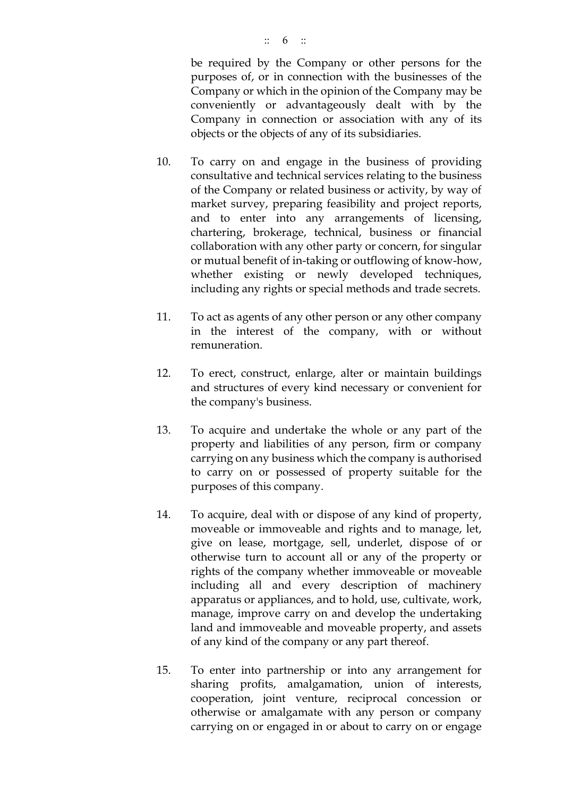- 10. To carry on and engage in the business of providing consultative and technical services relating to the business of the Company or related business or activity, by way of market survey, preparing feasibility and project reports, and to enter into any arrangements of licensing, chartering, brokerage, technical, business or financial collaboration with any other party or concern, for singular or mutual benefit of in-taking or outflowing of know-how, whether existing or newly developed techniques, including any rights or special methods and trade secrets.
- 11. To act as agents of any other person or any other company in the interest of the company, with or without remuneration.
- 12. To erect, construct, enlarge, alter or maintain buildings and structures of every kind necessary or convenient for the company's business.
- 13. To acquire and undertake the whole or any part of the property and liabilities of any person, firm or company carrying on any business which the company is authorised to carry on or possessed of property suitable for the purposes of this company.
- 14. To acquire, deal with or dispose of any kind of property, moveable or immoveable and rights and to manage, let, give on lease, mortgage, sell, underlet, dispose of or otherwise turn to account all or any of the property or rights of the company whether immoveable or moveable including all and every description of machinery apparatus or appliances, and to hold, use, cultivate, work, manage, improve carry on and develop the undertaking land and immoveable and moveable property, and assets of any kind of the company or any part thereof.
- 15. To enter into partnership or into any arrangement for sharing profits, amalgamation, union of interests, cooperation, joint venture, reciprocal concession or otherwise or amalgamate with any person or company carrying on or engaged in or about to carry on or engage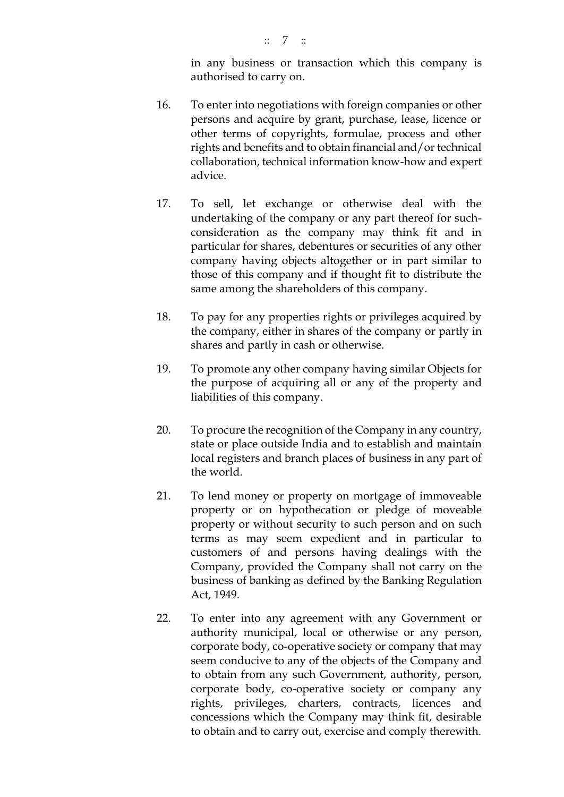in any business or transaction which this company is authorised to carry on.

- 16. To enter into negotiations with foreign companies or other persons and acquire by grant, purchase, lease, licence or other terms of copyrights, formulae, process and other rights and benefits and to obtain financial and/or technical collaboration, technical information know-how and expert advice.
- 17. To sell, let exchange or otherwise deal with the undertaking of the company or any part thereof for suchconsideration as the company may think fit and in particular for shares, debentures or securities of any other company having objects altogether or in part similar to those of this company and if thought fit to distribute the same among the shareholders of this company.
- 18. To pay for any properties rights or privileges acquired by the company, either in shares of the company or partly in shares and partly in cash or otherwise.
- 19. To promote any other company having similar Objects for the purpose of acquiring all or any of the property and liabilities of this company.
- 20. To procure the recognition of the Company in any country, state or place outside India and to establish and maintain local registers and branch places of business in any part of the world.
- 21. To lend money or property on mortgage of immoveable property or on hypothecation or pledge of moveable property or without security to such person and on such terms as may seem expedient and in particular to customers of and persons having dealings with the Company, provided the Company shall not carry on the business of banking as defined by the Banking Regulation Act, 1949.
- 22. To enter into any agreement with any Government or authority municipal, local or otherwise or any person, corporate body, co-operative society or company that may seem conducive to any of the objects of the Company and to obtain from any such Government, authority, person, corporate body, co-operative society or company any rights, privileges, charters, contracts, licences and concessions which the Company may think fit, desirable to obtain and to carry out, exercise and comply therewith.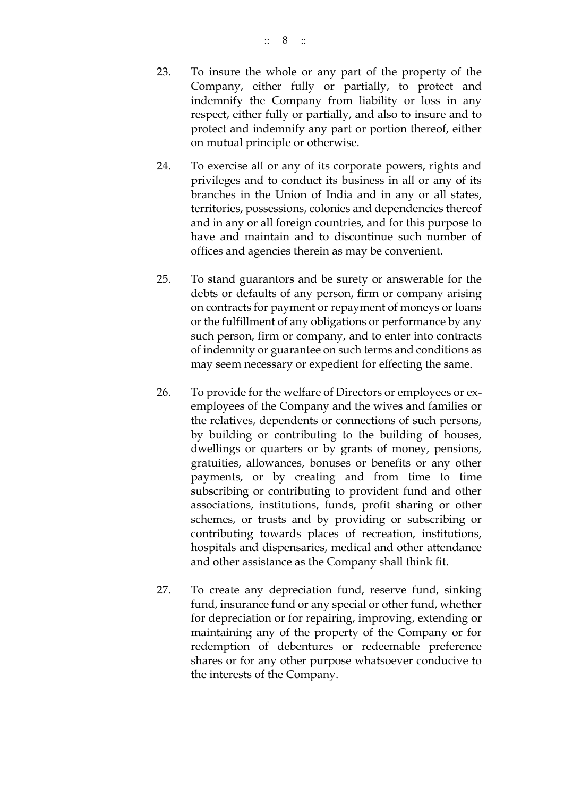- 23. To insure the whole or any part of the property of the Company, either fully or partially, to protect and indemnify the Company from liability or loss in any respect, either fully or partially, and also to insure and to protect and indemnify any part or portion thereof, either on mutual principle or otherwise.
- 24. To exercise all or any of its corporate powers, rights and privileges and to conduct its business in all or any of its branches in the Union of India and in any or all states, territories, possessions, colonies and dependencies thereof and in any or all foreign countries, and for this purpose to have and maintain and to discontinue such number of offices and agencies therein as may be convenient.
- 25. To stand guarantors and be surety or answerable for the debts or defaults of any person, firm or company arising on contracts for payment or repayment of moneys or loans or the fulfillment of any obligations or performance by any such person, firm or company, and to enter into contracts of indemnity or guarantee on such terms and conditions as may seem necessary or expedient for effecting the same.
- 26. To provide for the welfare of Directors or employees or exemployees of the Company and the wives and families or the relatives, dependents or connections of such persons, by building or contributing to the building of houses, dwellings or quarters or by grants of money, pensions, gratuities, allowances, bonuses or benefits or any other payments, or by creating and from time to time subscribing or contributing to provident fund and other associations, institutions, funds, profit sharing or other schemes, or trusts and by providing or subscribing or contributing towards places of recreation, institutions, hospitals and dispensaries, medical and other attendance and other assistance as the Company shall think fit.
- 27. To create any depreciation fund, reserve fund, sinking fund, insurance fund or any special or other fund, whether for depreciation or for repairing, improving, extending or maintaining any of the property of the Company or for redemption of debentures or redeemable preference shares or for any other purpose whatsoever conducive to the interests of the Company.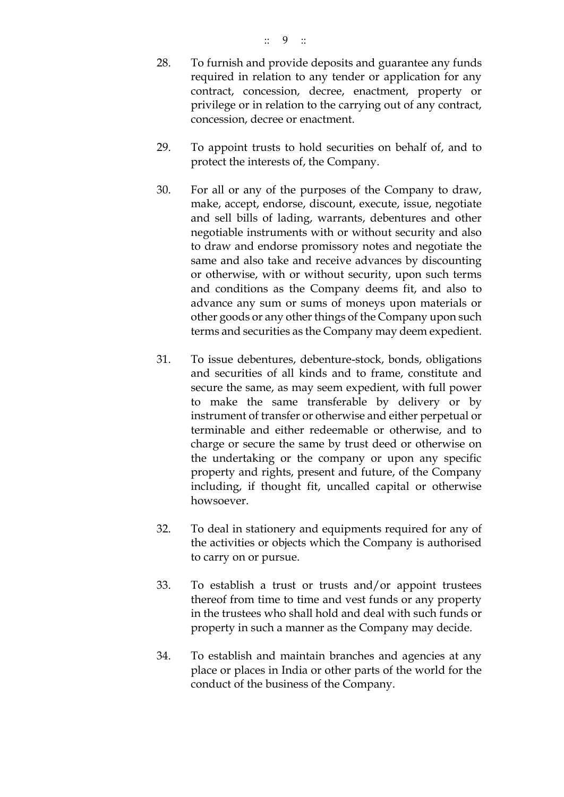- 28. To furnish and provide deposits and guarantee any funds required in relation to any tender or application for any contract, concession, decree, enactment, property or privilege or in relation to the carrying out of any contract, concession, decree or enactment.
- 29. To appoint trusts to hold securities on behalf of, and to protect the interests of, the Company.
- 30. For all or any of the purposes of the Company to draw, make, accept, endorse, discount, execute, issue, negotiate and sell bills of lading, warrants, debentures and other negotiable instruments with or without security and also to draw and endorse promissory notes and negotiate the same and also take and receive advances by discounting or otherwise, with or without security, upon such terms and conditions as the Company deems fit, and also to advance any sum or sums of moneys upon materials or other goods or any other things of the Company upon such terms and securities as the Company may deem expedient.
- 31. To issue debentures, debenture-stock, bonds, obligations and securities of all kinds and to frame, constitute and secure the same, as may seem expedient, with full power to make the same transferable by delivery or by instrument of transfer or otherwise and either perpetual or terminable and either redeemable or otherwise, and to charge or secure the same by trust deed or otherwise on the undertaking or the company or upon any specific property and rights, present and future, of the Company including, if thought fit, uncalled capital or otherwise howsoever.
- 32. To deal in stationery and equipments required for any of the activities or objects which the Company is authorised to carry on or pursue.
- 33. To establish a trust or trusts and/or appoint trustees thereof from time to time and vest funds or any property in the trustees who shall hold and deal with such funds or property in such a manner as the Company may decide.
- 34. To establish and maintain branches and agencies at any place or places in India or other parts of the world for the conduct of the business of the Company.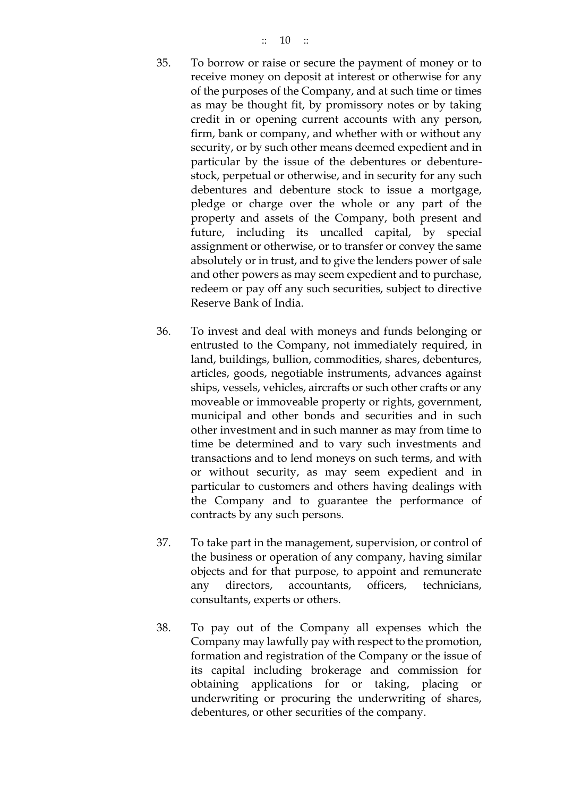- 35. To borrow or raise or secure the payment of money or to receive money on deposit at interest or otherwise for any of the purposes of the Company, and at such time or times as may be thought fit, by promissory notes or by taking credit in or opening current accounts with any person, firm, bank or company, and whether with or without any security, or by such other means deemed expedient and in particular by the issue of the debentures or debenturestock, perpetual or otherwise, and in security for any such debentures and debenture stock to issue a mortgage, pledge or charge over the whole or any part of the property and assets of the Company, both present and future, including its uncalled capital, by special assignment or otherwise, or to transfer or convey the same absolutely or in trust, and to give the lenders power of sale and other powers as may seem expedient and to purchase, redeem or pay off any such securities, subject to directive Reserve Bank of India.
- 36. To invest and deal with moneys and funds belonging or entrusted to the Company, not immediately required, in land, buildings, bullion, commodities, shares, debentures, articles, goods, negotiable instruments, advances against ships, vessels, vehicles, aircrafts or such other crafts or any moveable or immoveable property or rights, government, municipal and other bonds and securities and in such other investment and in such manner as may from time to time be determined and to vary such investments and transactions and to lend moneys on such terms, and with or without security, as may seem expedient and in particular to customers and others having dealings with the Company and to guarantee the performance of contracts by any such persons.
- 37. To take part in the management, supervision, or control of the business or operation of any company, having similar objects and for that purpose, to appoint and remunerate any directors, accountants, officers, technicians, consultants, experts or others.
- 38. To pay out of the Company all expenses which the Company may lawfully pay with respect to the promotion, formation and registration of the Company or the issue of its capital including brokerage and commission for obtaining applications for or taking, placing or underwriting or procuring the underwriting of shares, debentures, or other securities of the company.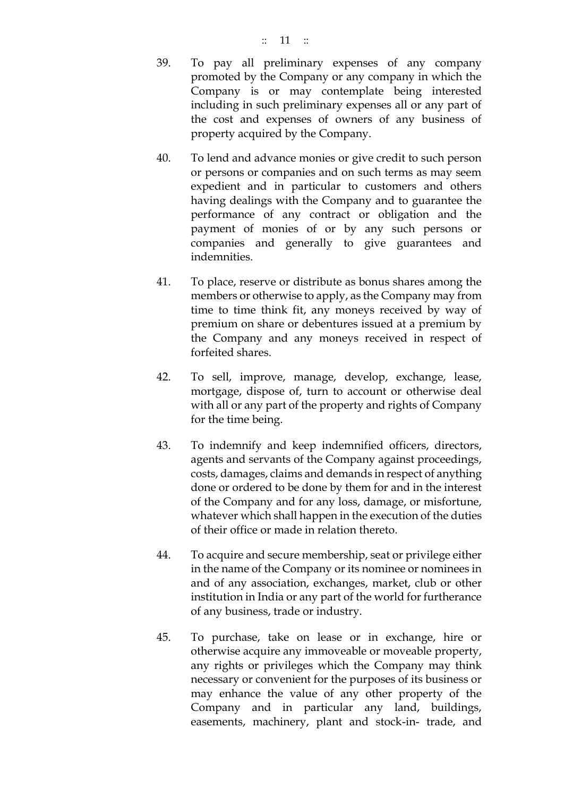- 39. To pay all preliminary expenses of any company promoted by the Company or any company in which the Company is or may contemplate being interested including in such preliminary expenses all or any part of the cost and expenses of owners of any business of property acquired by the Company.
- 40. To lend and advance monies or give credit to such person or persons or companies and on such terms as may seem expedient and in particular to customers and others having dealings with the Company and to guarantee the performance of any contract or obligation and the payment of monies of or by any such persons or companies and generally to give guarantees and indemnities.
- 41. To place, reserve or distribute as bonus shares among the members or otherwise to apply, as the Company may from time to time think fit, any moneys received by way of premium on share or debentures issued at a premium by the Company and any moneys received in respect of forfeited shares.
- 42. To sell, improve, manage, develop, exchange, lease, mortgage, dispose of, turn to account or otherwise deal with all or any part of the property and rights of Company for the time being.
- 43. To indemnify and keep indemnified officers, directors, agents and servants of the Company against proceedings, costs, damages, claims and demands in respect of anything done or ordered to be done by them for and in the interest of the Company and for any loss, damage, or misfortune, whatever which shall happen in the execution of the duties of their office or made in relation thereto.
- 44. To acquire and secure membership, seat or privilege either in the name of the Company or its nominee or nominees in and of any association, exchanges, market, club or other institution in India or any part of the world for furtherance of any business, trade or industry.
- 45. To purchase, take on lease or in exchange, hire or otherwise acquire any immoveable or moveable property, any rights or privileges which the Company may think necessary or convenient for the purposes of its business or may enhance the value of any other property of the Company and in particular any land, buildings, easements, machinery, plant and stock-in- trade, and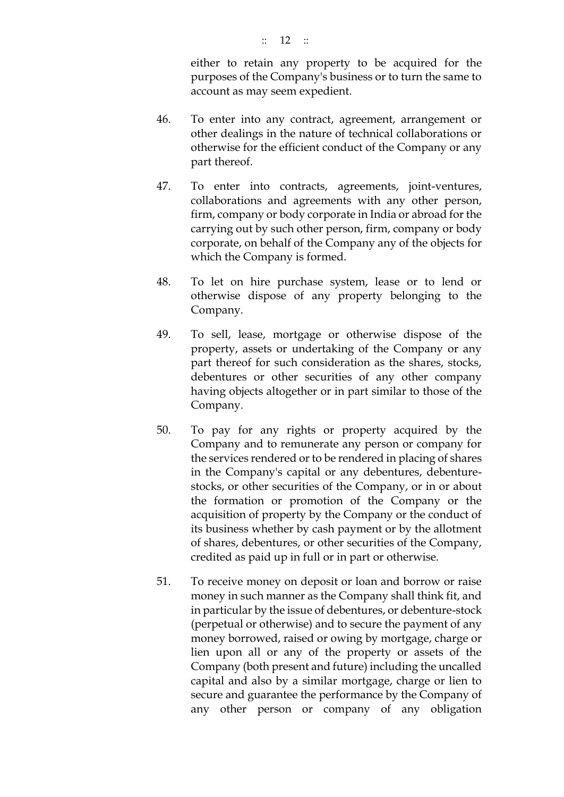either to retain any property to be acquired for the purposes of the Company's business or to turn the same to account as may seem expedient.

- 46. To enter into any contract, agreement, arrangement or other dealings in the nature of technical collaborations or otherwise for the efficient conduct of the Company or any part thereof.
- 47. To enter into contracts, agreements, joint-ventures, collaborations and agreements with any other person, firm, company or body corporate in India or abroad for the carrying out by such other person, firm, company or body corporate, on behalf of the Company any of the objects for which the Company is formed.
- 48. To let on hire purchase system, lease or to lend or otherwise dispose of any property belonging to the Company.
- 49. To sell, lease, mortgage or otherwise dispose of the property, assets or undertaking of the Company or any part thereof for such consideration as the shares, stocks, debentures or other securities of any other company having objects altogether or in part similar to those of the Company.
- 50. To pay for any rights or property acquired by the Company and to remunerate any person or company for the services rendered or to be rendered in placing of shares in the Company's capital or any debentures, debenturestocks, or other securities of the Company, or in or about the formation or promotion of the Company or the acquisition of property by the Company or the conduct of its business whether by cash payment or by the allotment of shares, debentures, or other securities of the Company, credited as paid up in full or in part or otherwise.
- 51. To receive money on deposit or loan and borrow or raise money in such manner as the Company shall think fit, and in particular by the issue of debentures, or debenture-stock (perpetual or otherwise) and to secure the payment of any money borrowed, raised or owing by mortgage, charge or lien upon all or any of the property or assets of the Company (both present and future) including the uncalled capital and also by a similar mortgage, charge or lien to secure and guarantee the performance by the Company of any other person or company of any obligation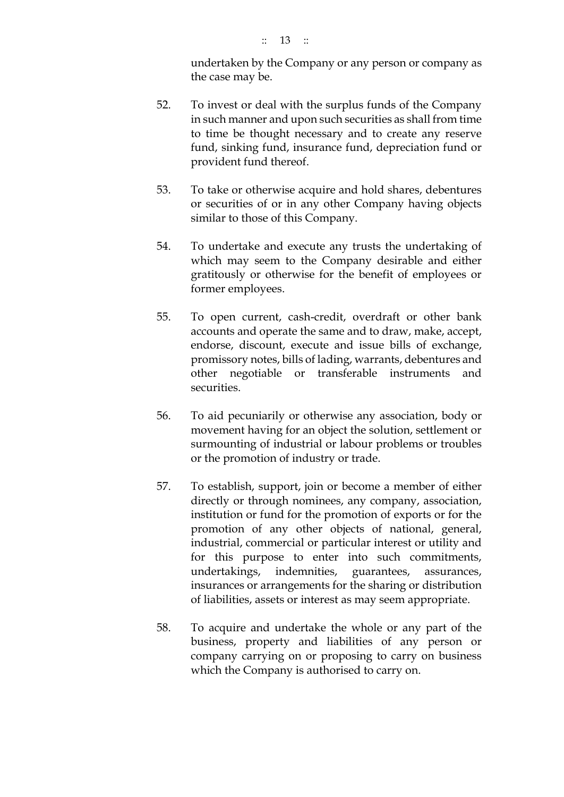undertaken by the Company or any person or company as the case may be.

- 52. To invest or deal with the surplus funds of the Company in such manner and upon such securities as shall from time to time be thought necessary and to create any reserve fund, sinking fund, insurance fund, depreciation fund or provident fund thereof.
- 53. To take or otherwise acquire and hold shares, debentures or securities of or in any other Company having objects similar to those of this Company.
- 54. To undertake and execute any trusts the undertaking of which may seem to the Company desirable and either gratitously or otherwise for the benefit of employees or former employees.
- 55. To open current, cash-credit, overdraft or other bank accounts and operate the same and to draw, make, accept, endorse, discount, execute and issue bills of exchange, promissory notes, bills of lading, warrants, debentures and other negotiable or transferable instruments and securities.
- 56. To aid pecuniarily or otherwise any association, body or movement having for an object the solution, settlement or surmounting of industrial or labour problems or troubles or the promotion of industry or trade.
- 57. To establish, support, join or become a member of either directly or through nominees, any company, association, institution or fund for the promotion of exports or for the promotion of any other objects of national, general, industrial, commercial or particular interest or utility and for this purpose to enter into such commitments, undertakings, indemnities, guarantees, assurances, insurances or arrangements for the sharing or distribution of liabilities, assets or interest as may seem appropriate.
- 58. To acquire and undertake the whole or any part of the business, property and liabilities of any person or company carrying on or proposing to carry on business which the Company is authorised to carry on.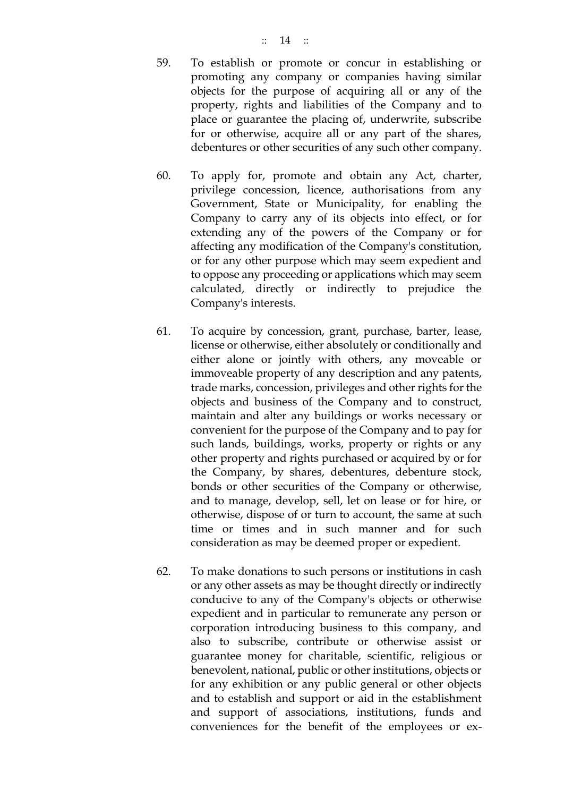- 59. To establish or promote or concur in establishing or promoting any company or companies having similar objects for the purpose of acquiring all or any of the property, rights and liabilities of the Company and to place or guarantee the placing of, underwrite, subscribe for or otherwise, acquire all or any part of the shares, debentures or other securities of any such other company.
- 60. To apply for, promote and obtain any Act, charter, privilege concession, licence, authorisations from any Government, State or Municipality, for enabling the Company to carry any of its objects into effect, or for extending any of the powers of the Company or for affecting any modification of the Company's constitution, or for any other purpose which may seem expedient and to oppose any proceeding or applications which may seem calculated, directly or indirectly to prejudice the Company's interests.
- 61. To acquire by concession, grant, purchase, barter, lease, license or otherwise, either absolutely or conditionally and either alone or jointly with others, any moveable or immoveable property of any description and any patents, trade marks, concession, privileges and other rights for the objects and business of the Company and to construct, maintain and alter any buildings or works necessary or convenient for the purpose of the Company and to pay for such lands, buildings, works, property or rights or any other property and rights purchased or acquired by or for the Company, by shares, debentures, debenture stock, bonds or other securities of the Company or otherwise, and to manage, develop, sell, let on lease or for hire, or otherwise, dispose of or turn to account, the same at such time or times and in such manner and for such consideration as may be deemed proper or expedient.
- 62. To make donations to such persons or institutions in cash or any other assets as may be thought directly or indirectly conducive to any of the Company's objects or otherwise expedient and in particular to remunerate any person or corporation introducing business to this company, and also to subscribe, contribute or otherwise assist or guarantee money for charitable, scientific, religious or benevolent, national, public or other institutions, objects or for any exhibition or any public general or other objects and to establish and support or aid in the establishment and support of associations, institutions, funds and conveniences for the benefit of the employees or ex-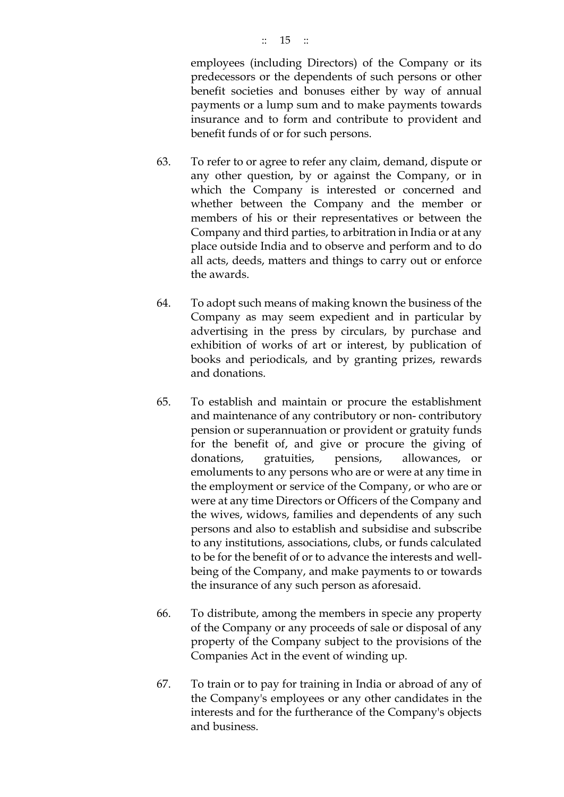employees (including Directors) of the Company or its predecessors or the dependents of such persons or other benefit societies and bonuses either by way of annual payments or a lump sum and to make payments towards insurance and to form and contribute to provident and benefit funds of or for such persons.

- 63. To refer to or agree to refer any claim, demand, dispute or any other question, by or against the Company, or in which the Company is interested or concerned and whether between the Company and the member or members of his or their representatives or between the Company and third parties, to arbitration in India or at any place outside India and to observe and perform and to do all acts, deeds, matters and things to carry out or enforce the awards.
- 64. To adopt such means of making known the business of the Company as may seem expedient and in particular by advertising in the press by circulars, by purchase and exhibition of works of art or interest, by publication of books and periodicals, and by granting prizes, rewards and donations.
- 65. To establish and maintain or procure the establishment and maintenance of any contributory or non- contributory pension or superannuation or provident or gratuity funds for the benefit of, and give or procure the giving of donations, gratuities, pensions, allowances, or emoluments to any persons who are or were at any time in the employment or service of the Company, or who are or were at any time Directors or Officers of the Company and the wives, widows, families and dependents of any such persons and also to establish and subsidise and subscribe to any institutions, associations, clubs, or funds calculated to be for the benefit of or to advance the interests and wellbeing of the Company, and make payments to or towards the insurance of any such person as aforesaid.
- 66. To distribute, among the members in specie any property of the Company or any proceeds of sale or disposal of any property of the Company subject to the provisions of the Companies Act in the event of winding up.
- 67. To train or to pay for training in India or abroad of any of the Company's employees or any other candidates in the interests and for the furtherance of the Company's objects and business.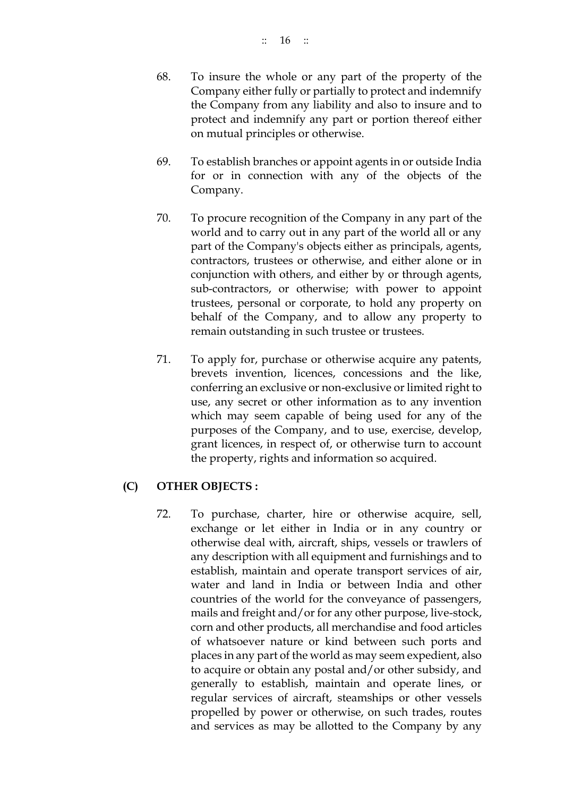- 68. To insure the whole or any part of the property of the Company either fully or partially to protect and indemnify the Company from any liability and also to insure and to protect and indemnify any part or portion thereof either on mutual principles or otherwise.
- 69. To establish branches or appoint agents in or outside India for or in connection with any of the objects of the Company.
- 70. To procure recognition of the Company in any part of the world and to carry out in any part of the world all or any part of the Company's objects either as principals, agents, contractors, trustees or otherwise, and either alone or in conjunction with others, and either by or through agents, sub-contractors, or otherwise; with power to appoint trustees, personal or corporate, to hold any property on behalf of the Company, and to allow any property to remain outstanding in such trustee or trustees.
- 71. To apply for, purchase or otherwise acquire any patents, brevets invention, licences, concessions and the like, conferring an exclusive or non-exclusive or limited right to use, any secret or other information as to any invention which may seem capable of being used for any of the purposes of the Company, and to use, exercise, develop, grant licences, in respect of, or otherwise turn to account the property, rights and information so acquired.

# **(C) OTHER OBJECTS :**

72. To purchase, charter, hire or otherwise acquire, sell, exchange or let either in India or in any country or otherwise deal with, aircraft, ships, vessels or trawlers of any description with all equipment and furnishings and to establish, maintain and operate transport services of air, water and land in India or between India and other countries of the world for the conveyance of passengers, mails and freight and/or for any other purpose, live-stock, corn and other products, all merchandise and food articles of whatsoever nature or kind between such ports and places in any part of the world as may seem expedient, also to acquire or obtain any postal and/or other subsidy, and generally to establish, maintain and operate lines, or regular services of aircraft, steamships or other vessels propelled by power or otherwise, on such trades, routes and services as may be allotted to the Company by any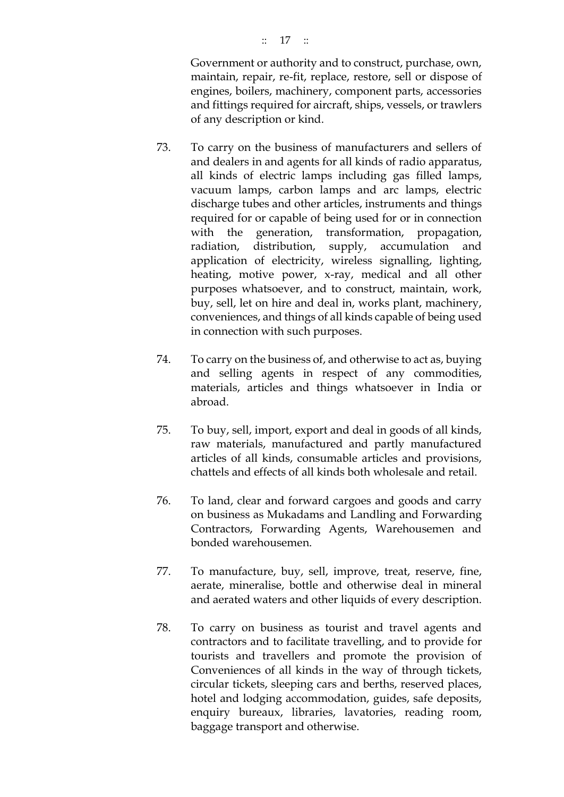#### :: 17 ::

Government or authority and to construct, purchase, own, maintain, repair, re-fit, replace, restore, sell or dispose of engines, boilers, machinery, component parts, accessories and fittings required for aircraft, ships, vessels, or trawlers of any description or kind.

- 73. To carry on the business of manufacturers and sellers of and dealers in and agents for all kinds of radio apparatus, all kinds of electric lamps including gas filled lamps, vacuum lamps, carbon lamps and arc lamps, electric discharge tubes and other articles, instruments and things required for or capable of being used for or in connection with the generation, transformation, propagation, radiation, distribution, supply, accumulation and application of electricity, wireless signalling, lighting, heating, motive power, x-ray, medical and all other purposes whatsoever, and to construct, maintain, work, buy, sell, let on hire and deal in, works plant, machinery, conveniences, and things of all kinds capable of being used in connection with such purposes.
- 74. To carry on the business of, and otherwise to act as, buying and selling agents in respect of any commodities, materials, articles and things whatsoever in India or abroad.
- 75. To buy, sell, import, export and deal in goods of all kinds, raw materials, manufactured and partly manufactured articles of all kinds, consumable articles and provisions, chattels and effects of all kinds both wholesale and retail.
- 76. To land, clear and forward cargoes and goods and carry on business as Mukadams and Landling and Forwarding Contractors, Forwarding Agents, Warehousemen and bonded warehousemen.
- 77. To manufacture, buy, sell, improve, treat, reserve, fine, aerate, mineralise, bottle and otherwise deal in mineral and aerated waters and other liquids of every description.
- 78. To carry on business as tourist and travel agents and contractors and to facilitate travelling, and to provide for tourists and travellers and promote the provision of Conveniences of all kinds in the way of through tickets, circular tickets, sleeping cars and berths, reserved places, hotel and lodging accommodation, guides, safe deposits, enquiry bureaux, libraries, lavatories, reading room, baggage transport and otherwise.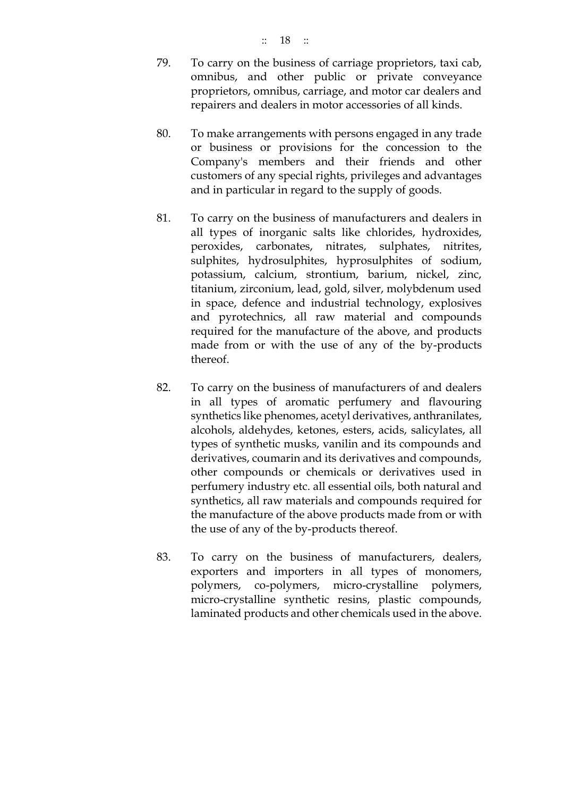- 79. To carry on the business of carriage proprietors, taxi cab, omnibus, and other public or private conveyance proprietors, omnibus, carriage, and motor car dealers and repairers and dealers in motor accessories of all kinds.
- 80. To make arrangements with persons engaged in any trade or business or provisions for the concession to the Company's members and their friends and other customers of any special rights, privileges and advantages and in particular in regard to the supply of goods.
- 81. To carry on the business of manufacturers and dealers in all types of inorganic salts like chlorides, hydroxides, peroxides, carbonates, nitrates, sulphates, nitrites, sulphites, hydrosulphites, hyprosulphites of sodium, potassium, calcium, strontium, barium, nickel, zinc, titanium, zirconium, lead, gold, silver, molybdenum used in space, defence and industrial technology, explosives and pyrotechnics, all raw material and compounds required for the manufacture of the above, and products made from or with the use of any of the by-products thereof.
- 82. To carry on the business of manufacturers of and dealers in all types of aromatic perfumery and flavouring synthetics like phenomes, acetyl derivatives, anthranilates, alcohols, aldehydes, ketones, esters, acids, salicylates, all types of synthetic musks, vanilin and its compounds and derivatives, coumarin and its derivatives and compounds, other compounds or chemicals or derivatives used in perfumery industry etc. all essential oils, both natural and synthetics, all raw materials and compounds required for the manufacture of the above products made from or with the use of any of the by-products thereof.
- 83. To carry on the business of manufacturers, dealers, exporters and importers in all types of monomers, polymers, co-polymers, micro-crystalline polymers, micro-crystalline synthetic resins, plastic compounds, laminated products and other chemicals used in the above.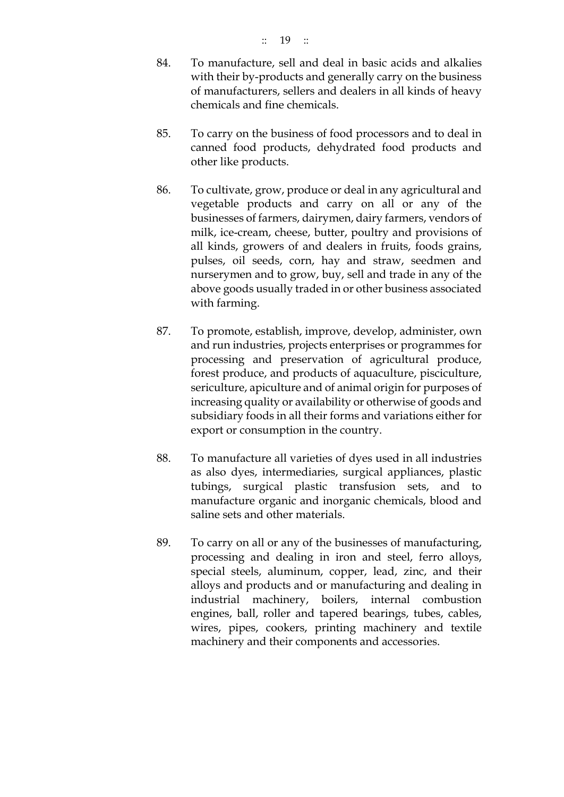- 84. To manufacture, sell and deal in basic acids and alkalies with their by-products and generally carry on the business of manufacturers, sellers and dealers in all kinds of heavy chemicals and fine chemicals.
- 85. To carry on the business of food processors and to deal in canned food products, dehydrated food products and other like products.
- 86. To cultivate, grow, produce or deal in any agricultural and vegetable products and carry on all or any of the businesses of farmers, dairymen, dairy farmers, vendors of milk, ice-cream, cheese, butter, poultry and provisions of all kinds, growers of and dealers in fruits, foods grains, pulses, oil seeds, corn, hay and straw, seedmen and nurserymen and to grow, buy, sell and trade in any of the above goods usually traded in or other business associated with farming.
- 87. To promote, establish, improve, develop, administer, own and run industries, projects enterprises or programmes for processing and preservation of agricultural produce, forest produce, and products of aquaculture, pisciculture, sericulture, apiculture and of animal origin for purposes of increasing quality or availability or otherwise of goods and subsidiary foods in all their forms and variations either for export or consumption in the country.
- 88. To manufacture all varieties of dyes used in all industries as also dyes, intermediaries, surgical appliances, plastic tubings, surgical plastic transfusion sets, and to manufacture organic and inorganic chemicals, blood and saline sets and other materials.
- 89. To carry on all or any of the businesses of manufacturing, processing and dealing in iron and steel, ferro alloys, special steels, aluminum, copper, lead, zinc, and their alloys and products and or manufacturing and dealing in industrial machinery, boilers, internal combustion engines, ball, roller and tapered bearings, tubes, cables, wires, pipes, cookers, printing machinery and textile machinery and their components and accessories.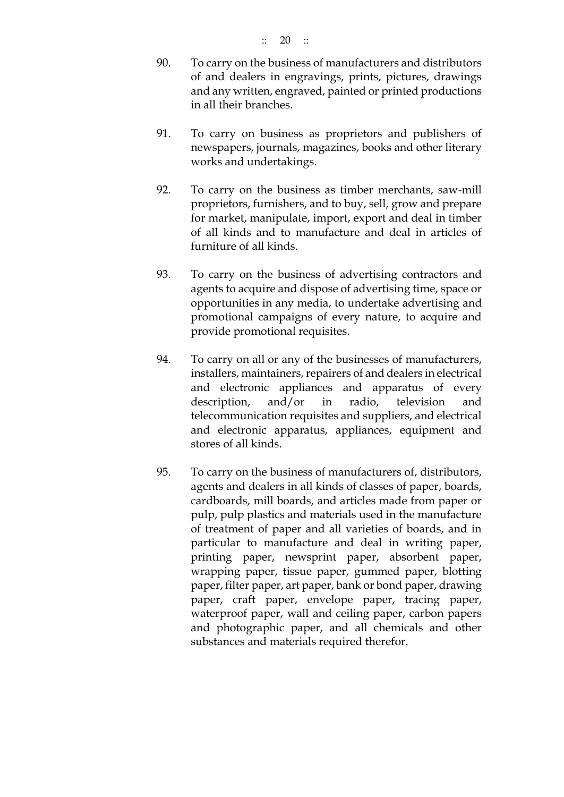- 90. To carry on the business of manufacturers and distributors of and dealers in engravings, prints, pictures, drawings and any written, engraved, painted or printed productions in all their branches.
- 91. To carry on business as proprietors and publishers of newspapers, journals, magazines, books and other literary works and undertakings.
- 92. To carry on the business as timber merchants, saw-mill proprietors, furnishers, and to buy, sell, grow and prepare for market, manipulate, import, export and deal in timber of all kinds and to manufacture and deal in articles of furniture of all kinds.
- 93. To carry on the business of advertising contractors and agents to acquire and dispose of advertising time, space or opportunities in any media, to undertake advertising and promotional campaigns of every nature, to acquire and provide promotional requisites.
- 94. To carry on all or any of the businesses of manufacturers, installers, maintainers, repairers of and dealers in electrical and electronic appliances and apparatus of every description, and/or in radio, television and telecommunication requisites and suppliers, and electrical and electronic apparatus, appliances, equipment and stores of all kinds.
- 95. To carry on the business of manufacturers of, distributors, agents and dealers in all kinds of classes of paper, boards, cardboards, mill boards, and articles made from paper or pulp, pulp plastics and materials used in the manufacture of treatment of paper and all varieties of boards, and in particular to manufacture and deal in writing paper, printing paper, newsprint paper, absorbent paper, wrapping paper, tissue paper, gummed paper, blotting paper, filter paper, art paper, bank or bond paper, drawing paper, craft paper, envelope paper, tracing paper, waterproof paper, wall and ceiling paper, carbon papers and photographic paper, and all chemicals and other substances and materials required therefor.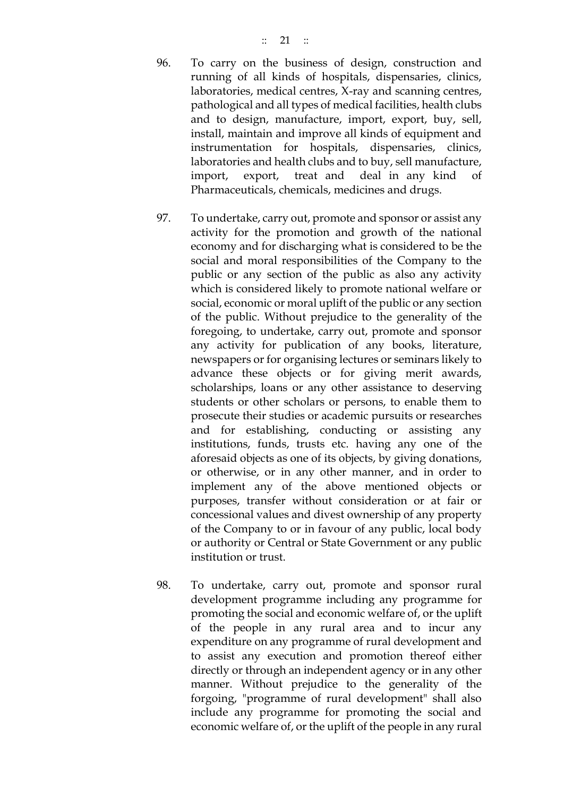- 96. To carry on the business of design, construction and running of all kinds of hospitals, dispensaries, clinics, laboratories, medical centres, X-ray and scanning centres, pathological and all types of medical facilities, health clubs and to design, manufacture, import, export, buy, sell, install, maintain and improve all kinds of equipment and instrumentation for hospitals, dispensaries, clinics, laboratories and health clubs and to buy, sell manufacture, import, export, treat and deal in any kind of Pharmaceuticals, chemicals, medicines and drugs.
- 97. To undertake, carry out, promote and sponsor or assist any activity for the promotion and growth of the national economy and for discharging what is considered to be the social and moral responsibilities of the Company to the public or any section of the public as also any activity which is considered likely to promote national welfare or social, economic or moral uplift of the public or any section of the public. Without prejudice to the generality of the foregoing, to undertake, carry out, promote and sponsor any activity for publication of any books, literature, newspapers or for organising lectures or seminars likely to advance these objects or for giving merit awards, scholarships, loans or any other assistance to deserving students or other scholars or persons, to enable them to prosecute their studies or academic pursuits or researches and for establishing, conducting or assisting any institutions, funds, trusts etc. having any one of the aforesaid objects as one of its objects, by giving donations, or otherwise, or in any other manner, and in order to implement any of the above mentioned objects or purposes, transfer without consideration or at fair or concessional values and divest ownership of any property of the Company to or in favour of any public, local body or authority or Central or State Government or any public institution or trust.
- 98. To undertake, carry out, promote and sponsor rural development programme including any programme for promoting the social and economic welfare of, or the uplift of the people in any rural area and to incur any expenditure on any programme of rural development and to assist any execution and promotion thereof either directly or through an independent agency or in any other manner. Without prejudice to the generality of the forgoing, "programme of rural development" shall also include any programme for promoting the social and economic welfare of, or the uplift of the people in any rural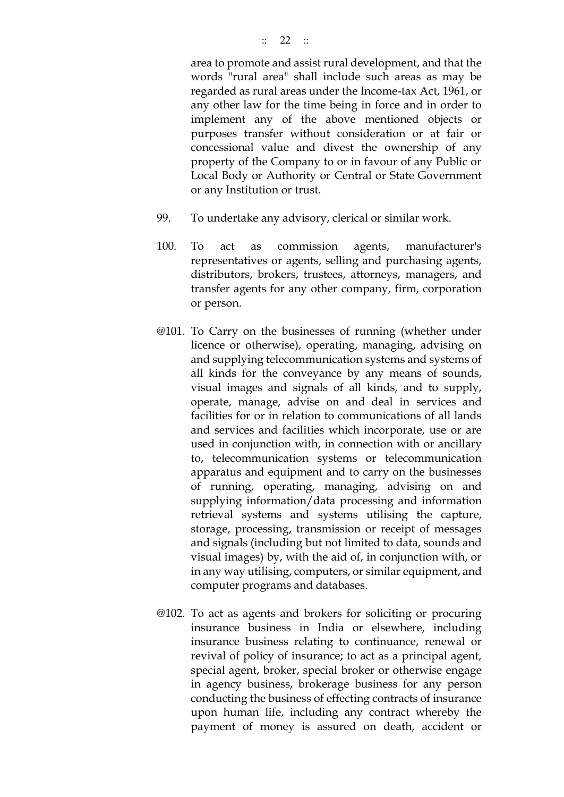area to promote and assist rural development, and that the words "rural area" shall include such areas as may be regarded as rural areas under the Income-tax Act, 1961, or any other law for the time being in force and in order to implement any of the above mentioned objects or purposes transfer without consideration or at fair or concessional value and divest the ownership of any property of the Company to or in favour of any Public or Local Body or Authority or Central or State Government or any Institution or trust.

- 99. To undertake any advisory, clerical or similar work.
- 100. To act as commission agents, manufacturer's representatives or agents, selling and purchasing agents, distributors, brokers, trustees, attorneys, managers, and transfer agents for any other company, firm, corporation or person.
- @101. To Carry on the businesses of running (whether under licence or otherwise), operating, managing, advising on and supplying telecommunication systems and systems of all kinds for the conveyance by any means of sounds, visual images and signals of all kinds, and to supply, operate, manage, advise on and deal in services and facilities for or in relation to communications of all lands and services and facilities which incorporate, use or are used in conjunction with, in connection with or ancillary to, telecommunication systems or telecommunication apparatus and equipment and to carry on the businesses of running, operating, managing, advising on and supplying information/data processing and information retrieval systems and systems utilising the capture, storage, processing, transmission or receipt of messages and signals (including but not limited to data, sounds and visual images) by, with the aid of, in conjunction with, or in any way utilising, computers, or similar equipment, and computer programs and databases.
- @102. To act as agents and brokers for soliciting or procuring insurance business in India or elsewhere, including insurance business relating to continuance, renewal or revival of policy of insurance; to act as a principal agent, special agent, broker, special broker or otherwise engage in agency business, brokerage business for any person conducting the business of effecting contracts of insurance upon human life, including any contract whereby the payment of money is assured on death, accident or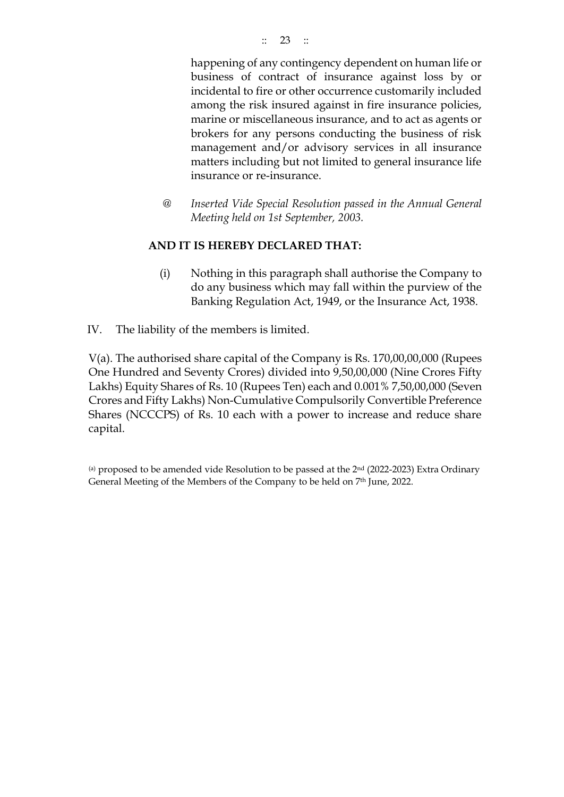happening of any contingency dependent on human life or business of contract of insurance against loss by or incidental to fire or other occurrence customarily included among the risk insured against in fire insurance policies, marine or miscellaneous insurance, and to act as agents or brokers for any persons conducting the business of risk management and/or advisory services in all insurance matters including but not limited to general insurance life insurance or re-insurance.

@ *Inserted Vide Special Resolution passed in the Annual General Meeting held on 1st September, 2003.* 

## **AND IT IS HEREBY DECLARED THAT:**

- (i) Nothing in this paragraph shall authorise the Company to do any business which may fall within the purview of the Banking Regulation Act, 1949, or the Insurance Act, 1938.
- IV. The liability of the members is limited.

V(a). The authorised share capital of the Company is Rs. 170,00,00,000 (Rupees One Hundred and Seventy Crores) divided into 9,50,00,000 (Nine Crores Fifty Lakhs) Equity Shares of Rs. 10 (Rupees Ten) each and 0.001% 7,50,00,000 (Seven Crores and Fifty Lakhs) Non-Cumulative Compulsorily Convertible Preference Shares (NCCCPS) of Rs. 10 each with a power to increase and reduce share capital.

(a) proposed to be amended vide Resolution to be passed at the 2<sup>nd</sup> (2022-2023) Extra Ordinary General Meeting of the Members of the Company to be held on 7 th June, 2022.